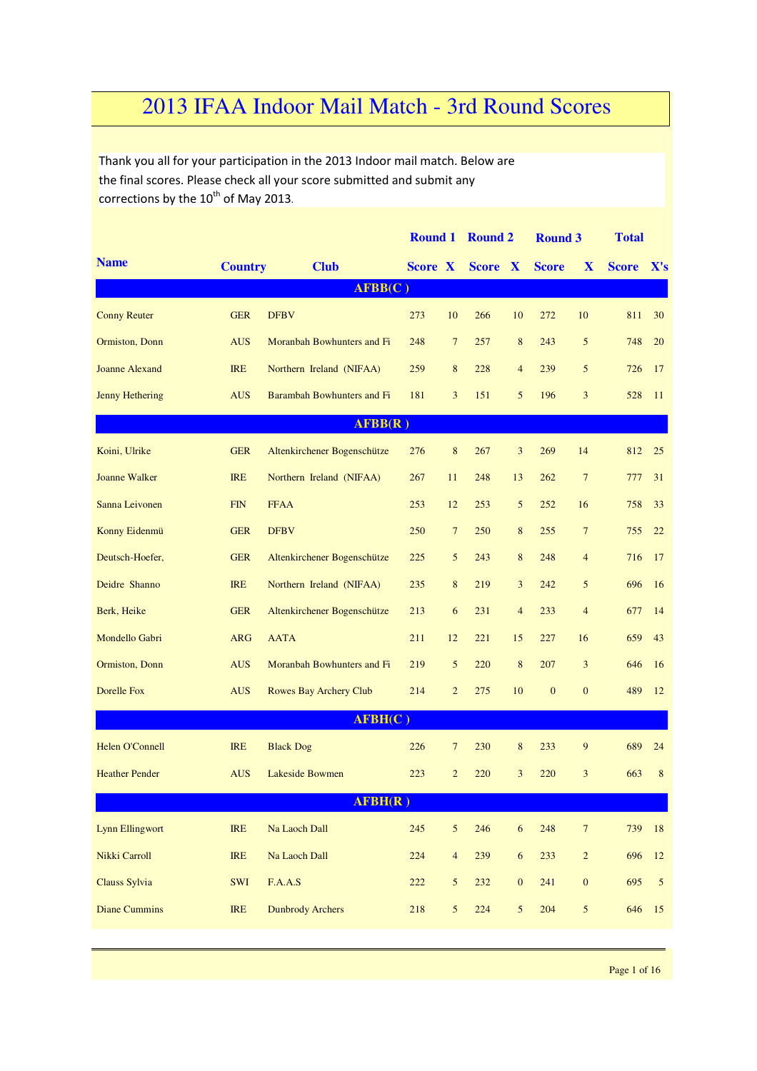## 2013 IFAA Indoor Mail Match - 3rd Round Scores

Thank you all for your participation in the 2013 Indoor mail match. Below are the final scores. Please check all your score submitted and submit any corrections by the  $10^{th}$  of May 2013.

|                        |                |                             | <b>Round 1</b> |                | <b>Round 2</b> |                  | <b>Round 3</b> |                  | <b>Total</b> |                |
|------------------------|----------------|-----------------------------|----------------|----------------|----------------|------------------|----------------|------------------|--------------|----------------|
| <b>Name</b>            | <b>Country</b> | <b>Club</b>                 | <b>Score X</b> |                | <b>Score X</b> |                  | <b>Score</b>   | X                | <b>Score</b> | X's            |
|                        |                | AFBB(C)                     |                |                |                |                  |                |                  |              |                |
| <b>Conny Reuter</b>    | <b>GER</b>     | <b>DFBV</b>                 | 273            | 10             | 266            | 10               | 272            | 10               | 811          | 30             |
| Ormiston, Donn         | <b>AUS</b>     | Moranbah Bowhunters and Fi  | 248            | $\overline{7}$ | 257            | 8                | 243            | 5                | 748          | 20             |
| <b>Joanne Alexand</b>  | <b>IRE</b>     | Northern Ireland (NIFAA)    | 259            | 8              | 228            | $\overline{4}$   | 239            | 5                | 726          | 17             |
| <b>Jenny Hethering</b> | <b>AUS</b>     | Barambah Bowhunters and Fi  | 181            | 3              | 151            | 5                | 196            | 3                | 528          | 11             |
|                        |                | AFBB(R)                     |                |                |                |                  |                |                  |              |                |
| Koini, Ulrike          | <b>GER</b>     | Altenkirchener Bogenschütze | 276            | 8              | 267            | 3                | 269            | 14               | 812          | 25             |
| <b>Joanne Walker</b>   | <b>IRE</b>     | Northern Ireland (NIFAA)    | 267            | 11             | 248            | 13               | 262            | $\overline{7}$   | 777          | 31             |
| Sanna Leivonen         | <b>FIN</b>     | <b>FFAA</b>                 | 253            | 12             | 253            | 5                | 252            | 16               | 758          | 33             |
| Konny Eidenmü          | <b>GER</b>     | <b>DFBV</b>                 | 250            | $\overline{7}$ | 250            | 8                | 255            | $\overline{7}$   | 755          | 22             |
| Deutsch-Hoefer,        | <b>GER</b>     | Altenkirchener Bogenschütze | 225            | 5              | 243            | 8                | 248            | $\overline{4}$   | 716          | 17             |
| Deidre Shanno          | <b>IRE</b>     | Northern Ireland (NIFAA)    | 235            | 8              | 219            | 3                | 242            | 5                | 696          | 16             |
| Berk, Heike            | <b>GER</b>     | Altenkirchener Bogenschütze | 213            | 6              | 231            | $\overline{4}$   | 233            | $\overline{4}$   | 677          | 14             |
| Mondello Gabri         | <b>ARG</b>     | <b>AATA</b>                 | 211            | 12             | 221            | 15               | 227            | 16               | 659          | 43             |
| Ormiston, Donn         | <b>AUS</b>     | Moranbah Bowhunters and Fi  | 219            | 5              | 220            | 8                | 207            | 3                | 646          | 16             |
| <b>Dorelle Fox</b>     | <b>AUS</b>     | Rowes Bay Archery Club      | 214            | $\overline{c}$ | 275            | 10               | $\mathbf{0}$   | $\mathbf{0}$     | 489          | 12             |
|                        |                | AFBH(C)                     |                |                |                |                  |                |                  |              |                |
| <b>Helen O'Connell</b> | <b>IRE</b>     | <b>Black Dog</b>            | 226            | 7              | 230            | 8                | 233            | 9                | 689          | 24             |
| <b>Heather Pender</b>  | <b>AUS</b>     | Lakeside Bowmen             | 223            | $\overline{c}$ | 220            | 3                | 220            | 3                | 663          | $\,$ 8 $\,$    |
|                        |                | AFBH(R)                     |                |                |                |                  |                |                  |              |                |
| <b>Lynn Ellingwort</b> | <b>IRE</b>     | Na Laoch Dall               | 245            | $\mathfrak{S}$ | 246            | $\sqrt{6}$       | 248            | $\boldsymbol{7}$ | 739          | 18             |
| Nikki Carroll          | <b>IRE</b>     | Na Laoch Dall               | 224            | $\overline{4}$ | 239            | $\sqrt{6}$       | 233            | $\overline{c}$   | 696          | 12             |
| Clauss Sylvia          | SWI            | F.A.A.S                     | 222            | $\mathfrak{S}$ | 232            | $\boldsymbol{0}$ | 241            | $\boldsymbol{0}$ | 695          | $\mathfrak{S}$ |
| <b>Diane Cummins</b>   | <b>IRE</b>     | <b>Dunbrody Archers</b>     | 218            | $\mathfrak{S}$ | 224            | 5                | 204            | 5                | 646          | 15             |
|                        |                |                             |                |                |                |                  |                |                  |              |                |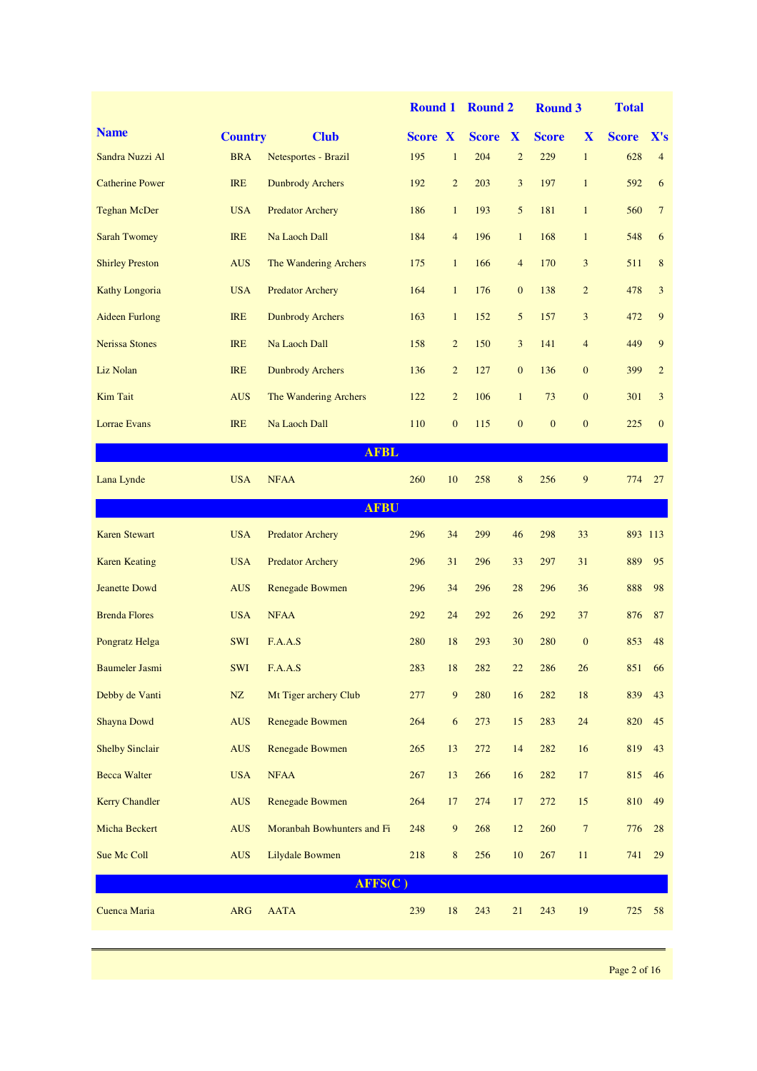|                        |                |                            | <b>Round 1</b> |                | <b>Round 2</b> |                  | <b>Round 3</b> |                  | <b>Total</b> |                 |
|------------------------|----------------|----------------------------|----------------|----------------|----------------|------------------|----------------|------------------|--------------|-----------------|
| <b>Name</b>            | <b>Country</b> | <b>Club</b>                | <b>Score X</b> |                | <b>Score X</b> |                  | <b>Score</b>   | X                | <b>Score</b> | X's             |
| Sandra Nuzzi Al        | <b>BRA</b>     | Netesportes - Brazil       | 195            | $\mathbf{1}$   | 204            | $\overline{2}$   | 229            | $\mathbf{1}$     | 628          | $\overline{4}$  |
| <b>Catherine Power</b> | <b>IRE</b>     | <b>Dunbrody Archers</b>    | 192            | $\overline{2}$ | 203            | 3                | 197            | $\mathbf{1}$     | 592          | 6               |
| <b>Teghan McDer</b>    | <b>USA</b>     | <b>Predator Archery</b>    | 186            | $\mathbf{1}$   | 193            | 5                | 181            | $\mathbf{1}$     | 560          | $7\phantom{.0}$ |
| <b>Sarah Twomey</b>    | <b>IRE</b>     | Na Laoch Dall              | 184            | $\overline{4}$ | 196            | $\mathbf{1}$     | 168            | $\mathbf{1}$     | 548          | 6               |
| <b>Shirley Preston</b> | <b>AUS</b>     | The Wandering Archers      | 175            | $\mathbf{1}$   | 166            | $\overline{4}$   | 170            | 3                | 511          | 8               |
| Kathy Longoria         | <b>USA</b>     | <b>Predator Archery</b>    | 164            | $\mathbf{1}$   | 176            | $\boldsymbol{0}$ | 138            | $\overline{c}$   | 478          | 3               |
| <b>Aideen Furlong</b>  | <b>IRE</b>     | <b>Dunbrody Archers</b>    | 163            | $\mathbf{1}$   | 152            | 5                | 157            | 3                | 472          | 9               |
| <b>Nerissa Stones</b>  | <b>IRE</b>     | Na Laoch Dall              | 158            | $\overline{2}$ | 150            | 3                | 141            | $\overline{4}$   | 449          | 9               |
| Liz Nolan              | <b>IRE</b>     | <b>Dunbrody Archers</b>    | 136            | $\overline{2}$ | 127            | $\mathbf{0}$     | 136            | $\boldsymbol{0}$ | 399          | $\overline{2}$  |
| <b>Kim Tait</b>        | <b>AUS</b>     | The Wandering Archers      | 122            | $\overline{2}$ | 106            | $\mathbf{1}$     | 73             | $\boldsymbol{0}$ | 301          | 3               |
| Lorrae Evans           | <b>IRE</b>     | Na Laoch Dall              | 110            | $\mathbf{0}$   | 115            | $\mathbf{0}$     | $\mathbf{0}$   | $\mathbf{0}$     | 225          | $\mathbf{0}$    |
|                        |                | <b>AFBL</b>                |                |                |                |                  |                |                  |              |                 |
| Lana Lynde             | <b>USA</b>     | <b>NFAA</b>                | 260            | 10             | 258            | 8                | 256            | 9                | 774          | 27              |
|                        |                | <b>AFBU</b>                |                |                |                |                  |                |                  |              |                 |
| <b>Karen Stewart</b>   | <b>USA</b>     | <b>Predator Archery</b>    | 296            | 34             | 299            | 46               | 298            | 33               | 893 113      |                 |
| <b>Karen Keating</b>   | <b>USA</b>     | <b>Predator Archery</b>    | 296            | 31             | 296            | 33               | 297            | 31               | 889          | 95              |
| <b>Jeanette Dowd</b>   | <b>AUS</b>     | <b>Renegade Bowmen</b>     | 296            | 34             | 296            | 28               | 296            | 36               | 888          | 98              |
| <b>Brenda Flores</b>   | <b>USA</b>     | <b>NFAA</b>                | 292            | 24             | 292            | 26               | 292            | 37               | 876          | 87              |
| Pongratz Helga         | <b>SWI</b>     | F.A.A.S                    | 280            | 18             | 293            | 30               | 280            | $\boldsymbol{0}$ | 853          | 48              |
| <b>Baumeler Jasmi</b>  | SWI            | F.A.A.S                    | 283            | 18             | 282            | 22               | 286            | 26               | 851          | 66              |
| Debby de Vanti         | NZ             | Mt Tiger archery Club      | 277            | $\overline{9}$ | 280            | 16               | 282            | $18\,$           | 839          | 43              |
| <b>Shayna Dowd</b>     | <b>AUS</b>     | <b>Renegade Bowmen</b>     | 264            | 6              | 273            | 15               | 283            | $24\,$           | 820          | 45              |
| <b>Shelby Sinclair</b> | <b>AUS</b>     | Renegade Bowmen            | 265            | 13             | 272            | 14               | 282            | 16               | 819          | 43              |
| <b>Becca Walter</b>    | <b>USA</b>     | <b>NFAA</b>                | 267            | 13             | 266            | 16               | 282            | $17\,$           | 815          | 46              |
| <b>Kerry Chandler</b>  | <b>AUS</b>     | Renegade Bowmen            | 264            | 17             | 274            | 17               | 272            | 15               | 810          | 49              |
| Micha Beckert          | <b>AUS</b>     | Moranbah Bowhunters and Fi | 248            | $\overline{9}$ | 268            | 12               | 260            | $7\phantom{.0}$  | 776          | 28              |
| Sue Mc Coll            | <b>AUS</b>     | <b>Lilydale Bowmen</b>     | 218            | 8              | 256            | 10               | 267            | 11               | 741          | 29              |
|                        |                | AFFS(C)                    |                |                |                |                  |                |                  |              |                 |
| Cuenca Maria           | <b>ARG</b>     | <b>AATA</b>                | 239            | 18             | 243            | 21               | 243            | 19               | 725          | 58              |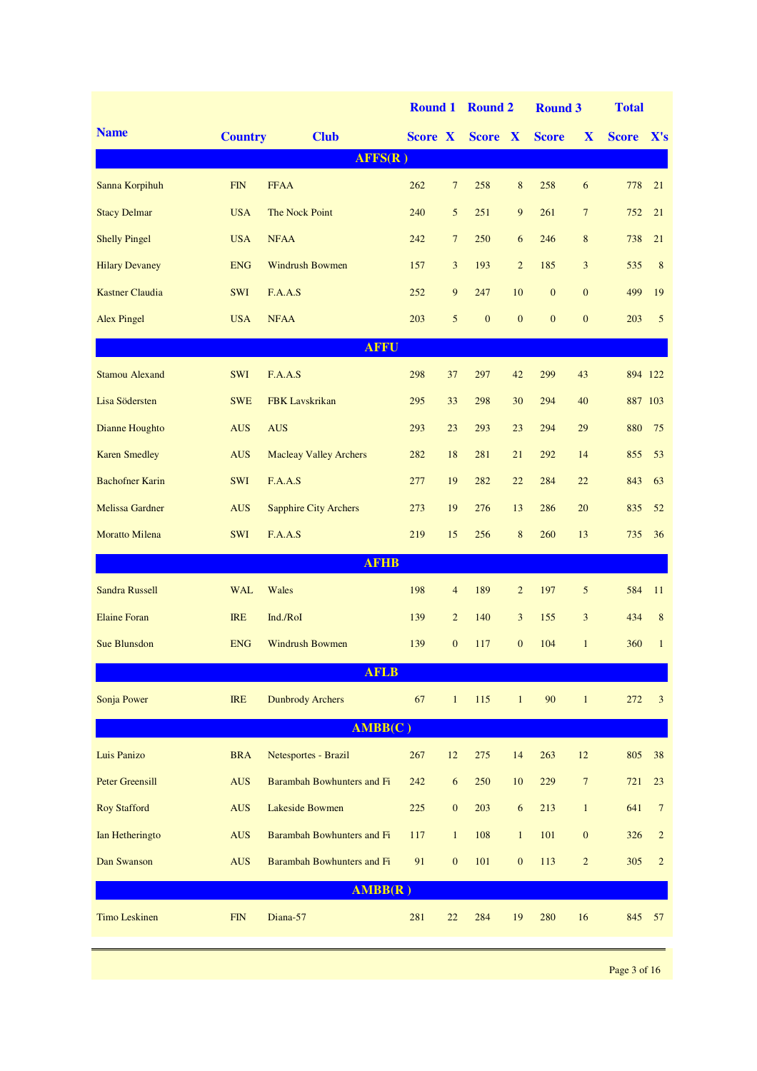|                        |                |                               | <b>Round 1</b> |                  | <b>Round 2</b>   |                  | <b>Round 3</b> |                 | <b>Total</b> |                 |
|------------------------|----------------|-------------------------------|----------------|------------------|------------------|------------------|----------------|-----------------|--------------|-----------------|
| <b>Name</b>            | <b>Country</b> | <b>Club</b>                   | Score X        |                  | Score X          |                  | <b>Score</b>   | X               | <b>Score</b> | X's             |
|                        |                | AFFS(R)                       |                |                  |                  |                  |                |                 |              |                 |
| Sanna Korpihuh         | <b>FIN</b>     | <b>FFAA</b>                   | 262            | 7                | 258              | 8                | 258            | 6               | 778          | 21              |
| <b>Stacy Delmar</b>    | <b>USA</b>     | The Nock Point                | 240            | 5                | 251              | 9                | 261            | $7\phantom{.0}$ | 752          | 21              |
| <b>Shelly Pingel</b>   | <b>USA</b>     | <b>NFAA</b>                   | 242            | $7\overline{ }$  | 250              | 6                | 246            | 8               | 738          | 21              |
| <b>Hilary Devaney</b>  | <b>ENG</b>     | <b>Windrush Bowmen</b>        | 157            | 3                | 193              | $\overline{2}$   | 185            | 3               | 535          | 8               |
| <b>Kastner Claudia</b> | SWI            | F.A.A.S                       | 252            | $\overline{9}$   | 247              | 10               | $\mathbf{0}$   | $\mathbf{0}$    | 499          | 19              |
| <b>Alex Pingel</b>     | <b>USA</b>     | <b>NFAA</b>                   | 203            | 5                | $\boldsymbol{0}$ | $\mathbf{0}$     | $\mathbf{0}$   | $\mathbf{0}$    | 203          | 5               |
|                        |                | <b>AFFU</b>                   |                |                  |                  |                  |                |                 |              |                 |
| <b>Stamou Alexand</b>  | <b>SWI</b>     | F.A.A.S                       | 298            | 37               | 297              | 42               | 299            | 43              |              | 894 122         |
| Lisa Södersten         | <b>SWE</b>     | <b>FBK</b> Lavskrikan         | 295            | 33               | 298              | 30               | 294            | 40              |              | 887 103         |
| Dianne Houghto         | <b>AUS</b>     | <b>AUS</b>                    | 293            | 23               | 293              | 23               | 294            | 29              | 880          | 75              |
| <b>Karen Smedley</b>   | <b>AUS</b>     | <b>Macleay Valley Archers</b> | 282            | 18               | 281              | 21               | 292            | 14              | 855          | 53              |
| <b>Bachofner Karin</b> | <b>SWI</b>     | F.A.A.S                       | 277            | 19               | 282              | 22               | 284            | 22              | 843          | 63              |
| <b>Melissa Gardner</b> | <b>AUS</b>     | <b>Sapphire City Archers</b>  | 273            | 19               | 276              | 13               | 286            | 20              | 835          | 52              |
| <b>Moratto Milena</b>  | SWI            | F.A.A.S                       | 219            | 15               | 256              | 8                | 260            | 13              | 735          | 36              |
|                        |                | <b>AFHB</b>                   |                |                  |                  |                  |                |                 |              |                 |
| <b>Sandra Russell</b>  | <b>WAL</b>     | Wales                         | 198            | $\overline{4}$   | 189              | $\overline{c}$   | 197            | 5               | 584          | 11              |
| <b>Elaine Foran</b>    | <b>IRE</b>     | Ind./RoI                      | 139            | $\overline{2}$   | 140              | 3                | 155            | 3               | 434          | 8               |
| <b>Sue Blunsdon</b>    | <b>ENG</b>     | <b>Windrush Bowmen</b>        | 139            | $\mathbf{0}$     | 117              | $\overline{0}$   | 104            | $\mathbf{1}$    | 360          | $\mathbf{1}$    |
|                        |                | <b>AFLB</b>                   |                |                  |                  |                  |                |                 |              |                 |
| Sonja Power            | <b>IRE</b>     | <b>Dunbrody Archers</b>       | 67             | $\mathbf{1}$     | 115              | $\mathbf{1}$     | 90             | $\mathbf{1}$    | 272          | 3               |
|                        |                | AMBB(C)                       |                |                  |                  |                  |                |                 |              |                 |
| Luis Panizo            | <b>BRA</b>     | Netesportes - Brazil          | 267            | $12 \,$          | 275              | 14               | 263            | $12\,$          | 805          | 38              |
| <b>Peter Greensill</b> | <b>AUS</b>     | Barambah Bowhunters and Fi    | 242            | $\sqrt{6}$       | 250              | 10               | 229            | $7\phantom{.0}$ | 721          | 23              |
| <b>Roy Stafford</b>    | <b>AUS</b>     | Lakeside Bowmen               | 225            | $\boldsymbol{0}$ | 203              | $\boldsymbol{6}$ | 213            | $\mathbf{1}$    | 641          | $7\phantom{.0}$ |
| Ian Hetheringto        | <b>AUS</b>     | Barambah Bowhunters and Fi    | 117            | $\mathbf{1}$     | 108              | $\mathbf{1}$     | 101            | $\mathbf{0}$    | 326          | $\sqrt{2}$      |
| Dan Swanson            | <b>AUS</b>     | Barambah Bowhunters and Fi    | 91             | $\boldsymbol{0}$ | 101              | $\mathbf{0}$     | 113            | $\overline{2}$  | 305          | $\sqrt{2}$      |
|                        |                | AMBB(R)                       |                |                  |                  |                  |                |                 |              |                 |
| <b>Timo Leskinen</b>   | ${\rm FIN}$    | Diana-57                      | 281            | 22               | 284              | 19               | 280            | 16              | 845          | 57              |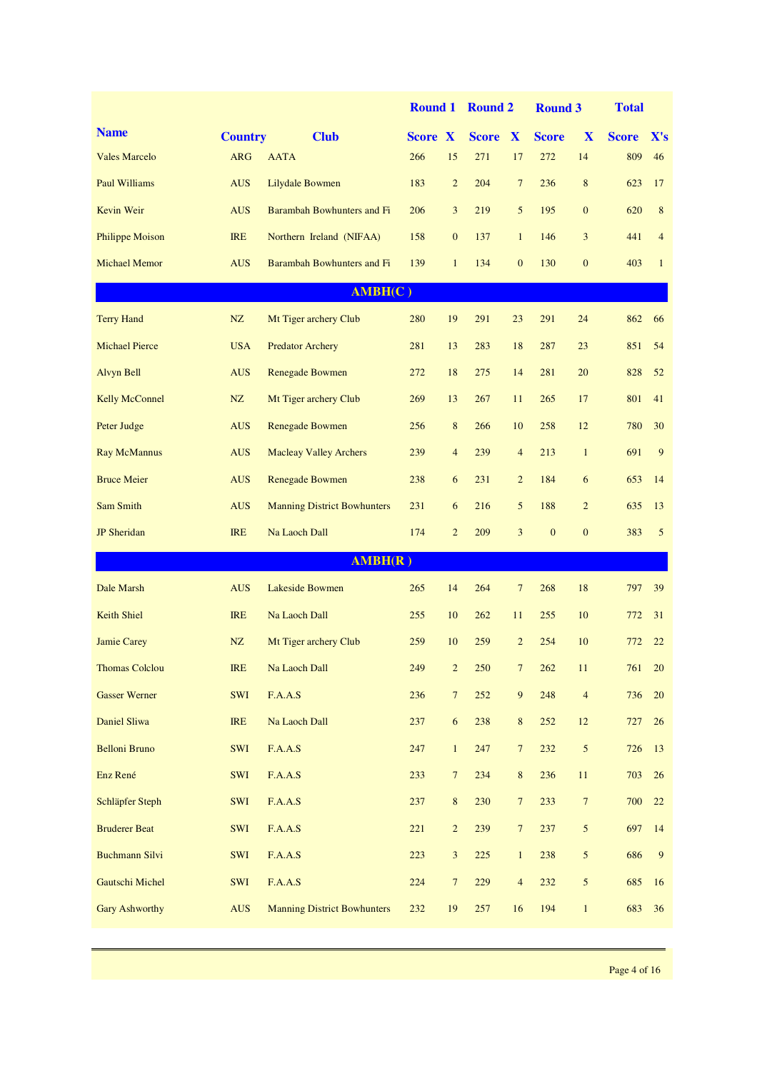|                        |                |                                    | <b>Round 1</b> |                 | <b>Round 2</b> |                  | <b>Round 3</b> |                 | <b>Total</b> |                |
|------------------------|----------------|------------------------------------|----------------|-----------------|----------------|------------------|----------------|-----------------|--------------|----------------|
| <b>Name</b>            | <b>Country</b> | <b>Club</b>                        | <b>Score X</b> |                 | <b>Score</b>   | $\mathbf{X}$     | <b>Score</b>   | X               | <b>Score</b> | X's            |
| <b>Vales Marcelo</b>   | <b>ARG</b>     | <b>AATA</b>                        | 266            | 15              | 271            | 17               | 272            | 14              | 809          | 46             |
| <b>Paul Williams</b>   | <b>AUS</b>     | Lilydale Bowmen                    | 183            | $\overline{2}$  | 204            | $7\phantom{.0}$  | 236            | $\,8\,$         | 623          | 17             |
| Kevin Weir             | <b>AUS</b>     | Barambah Bowhunters and Fi         | 206            | 3               | 219            | 5                | 195            | $\mathbf{0}$    | 620          | 8              |
| <b>Philippe Moison</b> | <b>IRE</b>     | Northern Ireland (NIFAA)           | 158            | $\mathbf{0}$    | 137            | $\mathbf{1}$     | 146            | 3               | 441          | $\overline{4}$ |
| <b>Michael Memor</b>   | <b>AUS</b>     | Barambah Bowhunters and Fi         | 139            | $\mathbf{1}$    | 134            | $\mathbf{0}$     | 130            | $\mathbf{0}$    | 403          | $\mathbf{1}$   |
|                        |                | AMBH(C)                            |                |                 |                |                  |                |                 |              |                |
| <b>Terry Hand</b>      | NZ             | Mt Tiger archery Club              | 280            | 19              | 291            | 23               | 291            | 24              | 862          | 66             |
| <b>Michael Pierce</b>  | <b>USA</b>     | <b>Predator Archery</b>            | 281            | 13              | 283            | 18               | 287            | 23              | 851          | 54             |
| Alvyn Bell             | <b>AUS</b>     | Renegade Bowmen                    | 272            | 18              | 275            | 14               | 281            | 20              | 828          | 52             |
| <b>Kelly McConnel</b>  | NZ             | Mt Tiger archery Club              | 269            | 13              | 267            | 11               | 265            | 17              | 801          | 41             |
| Peter Judge            | <b>AUS</b>     | <b>Renegade Bowmen</b>             | 256            | 8               | 266            | 10               | 258            | 12              | 780          | 30             |
| <b>Ray McMannus</b>    | <b>AUS</b>     | <b>Macleay Valley Archers</b>      | 239            | $\overline{4}$  | 239            | $\overline{4}$   | 213            | $\mathbf{1}$    | 691          | 9              |
| <b>Bruce Meier</b>     | <b>AUS</b>     | <b>Renegade Bowmen</b>             | 238            | 6               | 231            | $\overline{2}$   | 184            | 6               | 653          | 14             |
| Sam Smith              | <b>AUS</b>     | <b>Manning District Bowhunters</b> | 231            | 6               | 216            | 5                | 188            | $\overline{2}$  | 635          | 13             |
| <b>JP</b> Sheridan     | <b>IRE</b>     | Na Laoch Dall                      | 174            | $\overline{2}$  | 209            | 3                | $\mathbf{0}$   | $\mathbf{0}$    | 383          | 5              |
|                        |                | AMBH(R)                            |                |                 |                |                  |                |                 |              |                |
| Dale Marsh             | <b>AUS</b>     | Lakeside Bowmen                    | 265            | 14              | 264            | $7\phantom{.0}$  | 268            | 18              | 797          | 39             |
| <b>Keith Shiel</b>     | <b>IRE</b>     | Na Laoch Dall                      | 255            | 10              | 262            | 11               | 255            | 10              | 772          | 31             |
| <b>Jamie Carey</b>     | NZ             | Mt Tiger archery Club              | 259            | 10              | 259            | $\overline{2}$   | 254            | 10              | 772          | 22             |
| <b>Thomas Colclou</b>  | <b>IRE</b>     | Na Laoch Dall                      | 249            | $\overline{c}$  | 250            | 7                | 262            | 11              | 761          | 20             |
| <b>Gasser Werner</b>   | SWI            | F.A.A.S                            | 236            | $7\phantom{.0}$ | 252            | $\boldsymbol{9}$ | 248            | $\sqrt{4}$      | 736          | 20             |
| Daniel Sliwa           | <b>IRE</b>     | Na Laoch Dall                      | 237            | 6               | 238            | $\,8\,$          | 252            | 12              | 727          | $26\,$         |
| <b>Belloni Bruno</b>   | SWI            | F.A.A.S                            | 247            | $\mathbf{1}$    | 247            | $\overline{7}$   | 232            | $\mathfrak{S}$  | 726          | 13             |
| Enz René               | SWI            | F.A.A.S                            | 233            | $\tau$          | 234            | $8\phantom{.}$   | 236            | $11\,$          | 703          | 26             |
| Schläpfer Steph        | SWI            | F.A.A.S                            | 237            | $\bf 8$         | 230            | $\overline{7}$   | 233            | $\overline{7}$  | 700          | 22             |
| <b>Bruderer Beat</b>   | SWI            | F.A.A.S                            | 221            | $\overline{c}$  | 239            | $\overline{7}$   | 237            | $5\overline{)}$ | 697          | 14             |
| <b>Buchmann Silvi</b>  | SWI            | F.A.A.S                            | 223            | $\mathfrak{Z}$  | 225            | $\mathbf{1}$     | 238            | $5\overline{)}$ | 686          | $\overline{9}$ |
| <b>Gautschi Michel</b> | SWI            | F.A.A.S                            | 224            | $\overline{7}$  | 229            | $\overline{4}$   | 232            | $5\overline{)}$ | 685          | 16             |
| <b>Gary Ashworthy</b>  | <b>AUS</b>     | <b>Manning District Bowhunters</b> | 232            | 19              | 257            | 16               | 194            | $\mathbf{1}$    | 683          | 36             |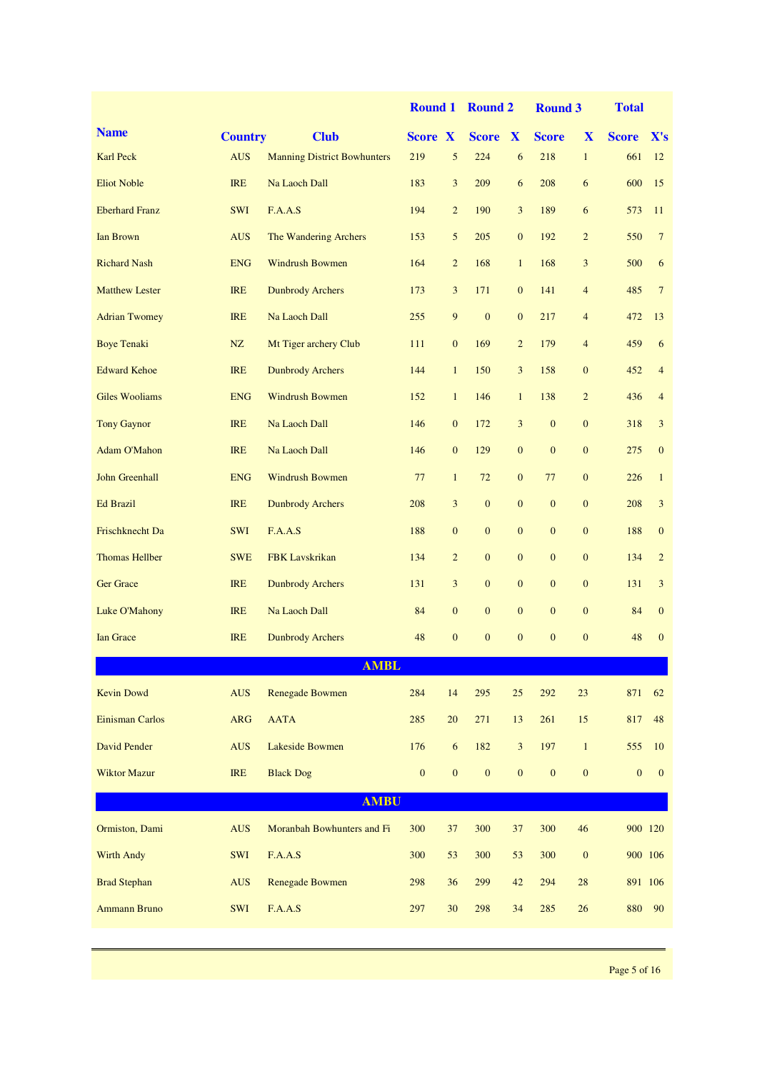|                        |                |                                    | <b>Round 1</b> |                  | <b>Round 2</b>   |                  | <b>Round 3</b> |                  | <b>Total</b>     |                  |
|------------------------|----------------|------------------------------------|----------------|------------------|------------------|------------------|----------------|------------------|------------------|------------------|
| <b>Name</b>            | <b>Country</b> | <b>Club</b>                        | <b>Score X</b> |                  | <b>Score X</b>   |                  | <b>Score</b>   | X                | <b>Score</b>     | X's              |
| <b>Karl Peck</b>       | <b>AUS</b>     | <b>Manning District Bowhunters</b> | 219            | 5                | 224              | 6                | 218            | $\mathbf{1}$     | 661              | 12               |
| <b>Eliot Noble</b>     | <b>IRE</b>     | Na Laoch Dall                      | 183            | 3                | 209              | 6                | 208            | 6                | 600              | 15               |
| <b>Eberhard Franz</b>  | <b>SWI</b>     | F.A.A.S                            | 194            | $\overline{c}$   | 190              | 3                | 189            | 6                | 573              | 11               |
| <b>Ian Brown</b>       | <b>AUS</b>     | The Wandering Archers              | 153            | 5                | 205              | $\boldsymbol{0}$ | 192            | $\overline{2}$   | 550              | $7\phantom{.0}$  |
| <b>Richard Nash</b>    | <b>ENG</b>     | <b>Windrush Bowmen</b>             | 164            | $\overline{2}$   | 168              | $\mathbf{1}$     | 168            | 3                | 500              | 6                |
| <b>Matthew Lester</b>  | <b>IRE</b>     | <b>Dunbrody Archers</b>            | 173            | $\overline{3}$   | 171              | $\mathbf{0}$     | 141            | $\overline{4}$   | 485              | $7\phantom{.0}$  |
| <b>Adrian Twomey</b>   | <b>IRE</b>     | Na Laoch Dall                      | 255            | 9                | $\mathbf{0}$     | $\mathbf{0}$     | 217            | $\overline{4}$   | 472              | 13               |
| <b>Boye Tenaki</b>     | NZ             | Mt Tiger archery Club              | 111            | $\mathbf{0}$     | 169              | $\overline{2}$   | 179            | $\overline{4}$   | 459              | 6                |
| <b>Edward Kehoe</b>    | <b>IRE</b>     | <b>Dunbrody Archers</b>            | 144            | $\mathbf{1}$     | 150              | 3                | 158            | $\boldsymbol{0}$ | 452              | $\overline{4}$   |
| <b>Giles Wooliams</b>  | <b>ENG</b>     | <b>Windrush Bowmen</b>             | 152            | $\mathbf{1}$     | 146              | $\mathbf{1}$     | 138            | $\overline{c}$   | 436              | $\overline{4}$   |
| <b>Tony Gaynor</b>     | <b>IRE</b>     | Na Laoch Dall                      | 146            | $\mathbf{0}$     | 172              | 3                | $\mathbf{0}$   | $\mathbf{0}$     | 318              | 3                |
| <b>Adam O'Mahon</b>    | <b>IRE</b>     | Na Laoch Dall                      | 146            | $\mathbf{0}$     | 129              | $\mathbf{0}$     | $\mathbf{0}$   | $\boldsymbol{0}$ | 275              | $\mathbf{0}$     |
| <b>John Greenhall</b>  | <b>ENG</b>     | <b>Windrush Bowmen</b>             | 77             | $\mathbf{1}$     | 72               | $\mathbf{0}$     | 77             | $\mathbf{0}$     | 226              | $\mathbf{1}$     |
| <b>Ed Brazil</b>       | <b>IRE</b>     | <b>Dunbrody Archers</b>            | 208            | $\overline{3}$   | $\boldsymbol{0}$ | $\mathbf{0}$     | $\mathbf{0}$   | $\boldsymbol{0}$ | 208              | $\mathfrak{Z}$   |
| Frischknecht Da        | <b>SWI</b>     | F.A.A.S                            | 188            | $\mathbf{0}$     | $\mathbf{0}$     | $\mathbf{0}$     | $\mathbf{0}$   | $\mathbf{0}$     | 188              | $\boldsymbol{0}$ |
| <b>Thomas Hellber</b>  | <b>SWE</b>     | <b>FBK</b> Lavskrikan              | 134            | $\overline{2}$   | $\mathbf{0}$     | $\mathbf{0}$     | $\mathbf{0}$   | $\boldsymbol{0}$ | 134              | $\overline{2}$   |
| <b>Ger Grace</b>       | <b>IRE</b>     | <b>Dunbrody Archers</b>            | 131            | 3                | $\mathbf{0}$     | $\mathbf{0}$     | $\mathbf{0}$   | $\mathbf{0}$     | 131              | 3                |
| Luke O'Mahony          | <b>IRE</b>     | Na Laoch Dall                      | 84             | $\boldsymbol{0}$ | $\mathbf{0}$     | $\mathbf{0}$     | $\mathbf{0}$   | $\mathbf{0}$     | 84               | $\boldsymbol{0}$ |
| <b>Ian Grace</b>       | <b>IRE</b>     | <b>Dunbrody Archers</b>            | 48             | $\mathbf{0}$     | $\mathbf{0}$     | $\mathbf{0}$     | $\mathbf{0}$   | $\mathbf{0}$     | 48               | $\mathbf{0}$     |
|                        |                | <b>AMBL</b>                        |                |                  |                  |                  |                |                  |                  |                  |
| <b>Kevin Dowd</b>      | <b>AUS</b>     | <b>Renegade Bowmen</b>             | 284            | 14               | 295              | 25               | 292            | 23               | 871              | 62               |
| <b>Einisman Carlos</b> | <b>ARG</b>     | <b>AATA</b>                        | 285            | 20               | 271              | 13               | 261            | 15               | 817              | 48               |
| David Pender           | <b>AUS</b>     | Lakeside Bowmen                    | 176            | 6                | 182              | 3                | 197            | $\mathbf{1}$     | 555              | 10               |
| <b>Wiktor Mazur</b>    | <b>IRE</b>     | <b>Black Dog</b>                   | $\mathbf{0}$   | $\mathbf{0}$     | $\boldsymbol{0}$ | $\boldsymbol{0}$ | $\mathbf{0}$   | $\boldsymbol{0}$ | $\boldsymbol{0}$ | $\mathbf{0}$     |
|                        |                | <b>AMBU</b>                        |                |                  |                  |                  |                |                  |                  |                  |
| Ormiston, Dami         | <b>AUS</b>     | Moranbah Bowhunters and Fi         | 300            | 37               | 300              | 37               | 300            | 46               | 900 120          |                  |
| <b>Wirth Andy</b>      | SWI            | F.A.A.S                            | 300            | 53               | 300              | 53               | 300            | $\boldsymbol{0}$ | 900 106          |                  |
| <b>Brad Stephan</b>    | <b>AUS</b>     | <b>Renegade Bowmen</b>             | 298            | 36               | 299              | 42               | 294            | 28               | 891 106          |                  |
| <b>Ammann Bruno</b>    | SWI            | F.A.A.S                            | 297            | 30               | 298              | 34               | 285            | 26               | 880              | 90               |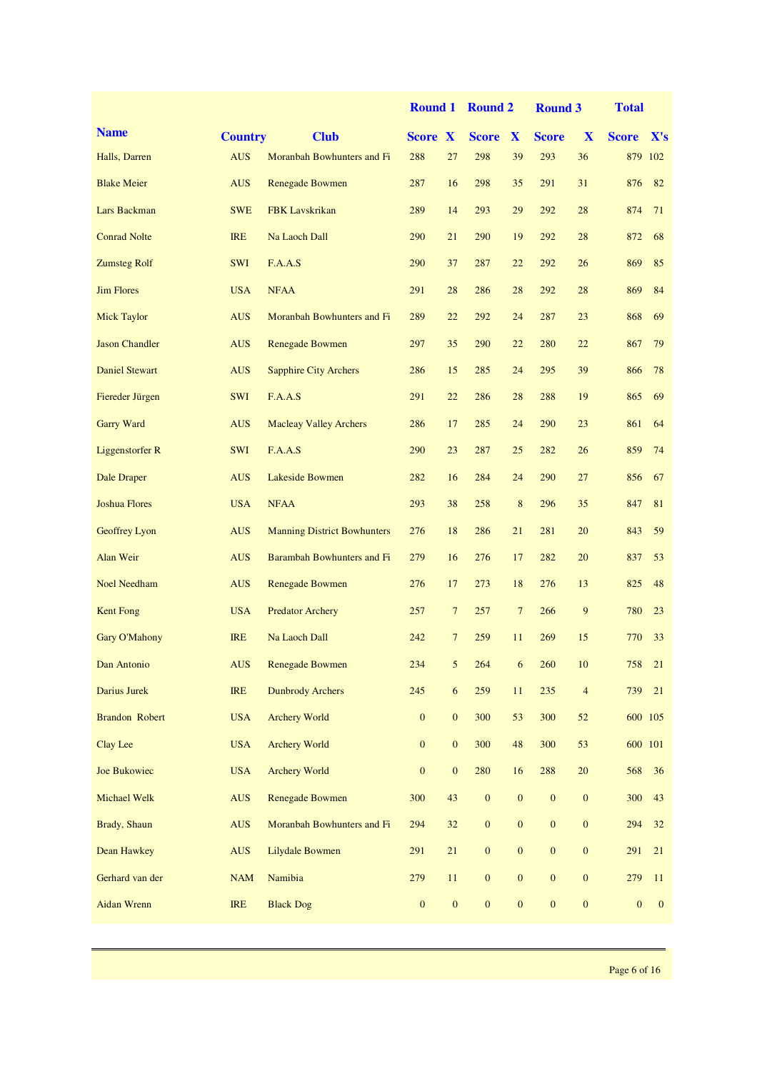|                       |                |                                    | <b>Round 1</b> |                  | <b>Round 2</b>   |                  | <b>Round 3</b>   |                | <b>Total</b>     |              |
|-----------------------|----------------|------------------------------------|----------------|------------------|------------------|------------------|------------------|----------------|------------------|--------------|
| <b>Name</b>           | <b>Country</b> | <b>Club</b>                        | <b>Score X</b> |                  | <b>Score</b>     | $\mathbf{X}$     | <b>Score</b>     | X              | <b>Score</b>     | X's          |
| Halls, Darren         | <b>AUS</b>     | Moranbah Bowhunters and Fi         | 288            | 27               | 298              | 39               | 293              | 36             |                  | 879 102      |
| <b>Blake Meier</b>    | <b>AUS</b>     | <b>Renegade Bowmen</b>             | 287            | 16               | 298              | 35               | 291              | 31             | 876              | 82           |
| Lars Backman          | <b>SWE</b>     | <b>FBK</b> Lavskrikan              | 289            | 14               | 293              | 29               | 292              | 28             | 874              | 71           |
| <b>Conrad Nolte</b>   | <b>IRE</b>     | Na Laoch Dall                      | 290            | 21               | 290              | 19               | 292              | 28             | 872              | 68           |
| <b>Zumsteg Rolf</b>   | <b>SWI</b>     | F.A.A.S                            | 290            | 37               | 287              | 22               | 292              | 26             | 869              | 85           |
| <b>Jim Flores</b>     | <b>USA</b>     | <b>NFAA</b>                        | 291            | 28               | 286              | 28               | 292              | 28             | 869              | 84           |
| <b>Mick Taylor</b>    | <b>AUS</b>     | Moranbah Bowhunters and Fi         | 289            | 22               | 292              | 24               | 287              | 23             | 868              | 69           |
| <b>Jason Chandler</b> | <b>AUS</b>     | Renegade Bowmen                    | 297            | 35               | 290              | 22               | 280              | 22             | 867              | 79           |
| <b>Daniel Stewart</b> | <b>AUS</b>     | <b>Sapphire City Archers</b>       | 286            | 15               | 285              | 24               | 295              | 39             | 866              | 78           |
| Fiereder Jürgen       | <b>SWI</b>     | F.A.A.S                            | 291            | 22               | 286              | 28               | 288              | 19             | 865              | 69           |
| <b>Garry Ward</b>     | <b>AUS</b>     | <b>Macleay Valley Archers</b>      | 286            | 17               | 285              | 24               | 290              | 23             | 861              | 64           |
| Liggenstorfer R       | <b>SWI</b>     | F.A.A.S                            | 290            | 23               | 287              | 25               | 282              | 26             | 859              | 74           |
| Dale Draper           | <b>AUS</b>     | Lakeside Bowmen                    | 282            | 16               | 284              | 24               | 290              | 27             | 856              | 67           |
| <b>Joshua Flores</b>  | <b>USA</b>     | <b>NFAA</b>                        | 293            | 38               | 258              | $\,8\,$          | 296              | 35             | 847              | 81           |
| Geoffrey Lyon         | <b>AUS</b>     | <b>Manning District Bowhunters</b> | 276            | 18               | 286              | 21               | 281              | 20             | 843              | 59           |
| Alan Weir             | <b>AUS</b>     | Barambah Bowhunters and Fi         | 279            | 16               | 276              | 17               | 282              | 20             | 837              | 53           |
| <b>Noel Needham</b>   | <b>AUS</b>     | <b>Renegade Bowmen</b>             | 276            | 17               | 273              | 18               | 276              | 13             | 825              | 48           |
| <b>Kent Fong</b>      | <b>USA</b>     | <b>Predator Archery</b>            | 257            | 7                | 257              | $7\phantom{.0}$  | 266              | 9              | 780              | 23           |
| Gary O'Mahony         | <b>IRE</b>     | Na Laoch Dall                      | 242            | $\tau$           | 259              | 11               | 269              | 15             | 770              | 33           |
| Dan Antonio           | AUS            | Renegade Bowmen                    | 234            | 5 <sub>5</sub>   | 264              | 6 <sup>6</sup>   | 260              | 10             | 758              | 21           |
| Darius Jurek          | <b>IRE</b>     | <b>Dunbrody Archers</b>            | 245            | 6                | 259              | 11               | 235              | $\overline{4}$ | 739              | 21           |
| <b>Brandon Robert</b> | <b>USA</b>     | <b>Archery World</b>               | $\mathbf{0}$   | $\boldsymbol{0}$ | 300              | 53               | 300              | 52             |                  | 600 105      |
| Clay Lee              | <b>USA</b>     | <b>Archery World</b>               | $\mathbf{0}$   | $\mathbf{0}$     | 300              | 48               | 300              | 53             | 600 101          |              |
| Joe Bukowiec          | <b>USA</b>     | <b>Archery World</b>               | $\mathbf{0}$   | $\boldsymbol{0}$ | 280              | 16               | 288              | $20\,$         | 568              | 36           |
| Michael Welk          | <b>AUS</b>     | <b>Renegade Bowmen</b>             | 300            | 43               | $\boldsymbol{0}$ | $\boldsymbol{0}$ | $\mathbf{0}$     | $\mathbf{0}$   | 300              | 43           |
| Brady, Shaun          | <b>AUS</b>     | Moranbah Bowhunters and Fi         | 294            | 32               | $\boldsymbol{0}$ | $\boldsymbol{0}$ | $\boldsymbol{0}$ | $\mathbf{0}$   | 294              | 32           |
| Dean Hawkey           | <b>AUS</b>     | Lilydale Bowmen                    | 291            | 21               | $\boldsymbol{0}$ | $\boldsymbol{0}$ | $\boldsymbol{0}$ | $\mathbf{0}$   | 291              | 21           |
| Gerhard van der       | <b>NAM</b>     | Namibia                            | 279            | 11               | $\boldsymbol{0}$ | $\boldsymbol{0}$ | $\boldsymbol{0}$ | $\mathbf{0}$   | 279              | 11           |
| <b>Aidan Wrenn</b>    | <b>IRE</b>     | <b>Black Dog</b>                   | $\mathbf{0}$   | $\boldsymbol{0}$ | $\boldsymbol{0}$ | $\boldsymbol{0}$ | $\boldsymbol{0}$ | $\mathbf{0}$   | $\boldsymbol{0}$ | $\mathbf{0}$ |
|                       |                |                                    |                |                  |                  |                  |                  |                |                  |              |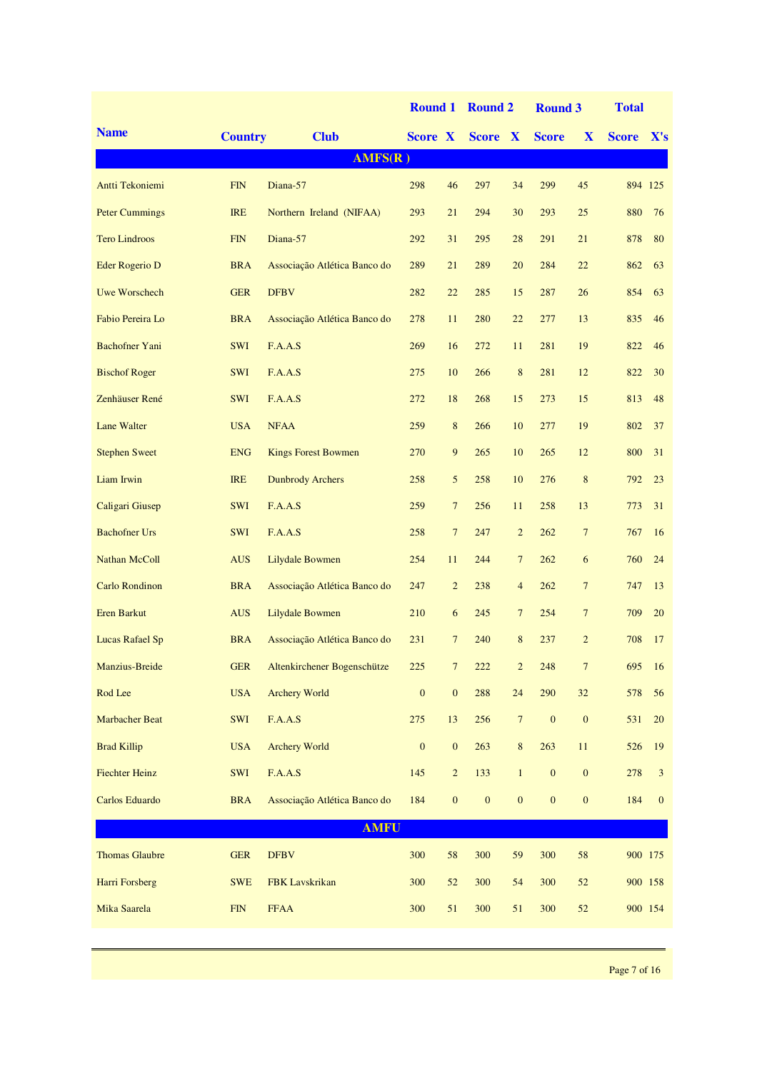|                        |                |                                 | <b>Round 1</b>   |                  | <b>Round 2</b>   |                  | <b>Round 3</b>   |                  | <b>Total</b> |              |
|------------------------|----------------|---------------------------------|------------------|------------------|------------------|------------------|------------------|------------------|--------------|--------------|
| <b>Name</b>            | <b>Country</b> | <b>Club</b>                     | Score X          |                  | Score X          |                  | <b>Score</b>     | X                | <b>Score</b> | X's          |
|                        |                | AMFS(R)                         |                  |                  |                  |                  |                  |                  |              |              |
| Antti Tekoniemi        | <b>FIN</b>     | Diana-57                        | 298              | 46               | 297              | 34               | 299              | 45               | 894 125      |              |
| <b>Peter Cummings</b>  | <b>IRE</b>     | Northern Ireland (NIFAA)        | 293              | 21               | 294              | 30               | 293              | 25               | 880          | 76           |
| <b>Tero Lindroos</b>   | <b>FIN</b>     | Diana-57                        | 292              | 31               | 295              | 28               | 291              | 21               | 878          | 80           |
| Eder Rogerio D         | <b>BRA</b>     | Associação Atlética Banco do    | 289              | 21               | 289              | 20               | 284              | 22               | 862          | 63           |
| <b>Uwe Worschech</b>   | <b>GER</b>     | <b>DFBV</b>                     | 282              | 22               | 285              | 15               | 287              | 26               | 854          | 63           |
| Fabio Pereira Lo       | <b>BRA</b>     | Associação Atlética Banco do    | 278              | 11               | 280              | 22               | 277              | 13               | 835          | 46           |
| <b>Bachofner Yani</b>  | <b>SWI</b>     | F.A.A.S                         | 269              | 16               | 272              | 11               | 281              | 19               | 822          | 46           |
| <b>Bischof Roger</b>   | <b>SWI</b>     | F.A.A.S                         | 275              | 10               | 266              | $\bf 8$          | 281              | 12               | 822          | 30           |
| Zenhäuser René         | <b>SWI</b>     | F.A.A.S                         | 272              | 18               | 268              | 15               | 273              | 15               | 813          | 48           |
| <b>Lane Walter</b>     | <b>USA</b>     | <b>NFAA</b>                     | 259              | $\bf 8$          | 266              | 10               | 277              | 19               | 802          | 37           |
| <b>Stephen Sweet</b>   | <b>ENG</b>     | <b>Kings Forest Bowmen</b>      | 270              | $\overline{9}$   | 265              | 10               | 265              | 12               | 800          | 31           |
| Liam Irwin             | <b>IRE</b>     | <b>Dunbrody Archers</b>         | 258              | 5                | 258              | 10               | 276              | $\,$ 8 $\,$      | 792          | 23           |
| Caligari Giusep        | <b>SWI</b>     | F.A.A.S                         | 259              | $\overline{7}$   | 256              | 11               | 258              | 13               | 773          | 31           |
| <b>Bachofner Urs</b>   | <b>SWI</b>     | F.A.A.S                         | 258              | $\overline{7}$   | 247              | $\overline{c}$   | 262              | $7\phantom{.0}$  | 767          | 16           |
| Nathan McColl          | <b>AUS</b>     | Lilydale Bowmen                 | 254              | 11               | 244              | $\overline{7}$   | 262              | 6                | 760          | 24           |
| <b>Carlo Rondinon</b>  | <b>BRA</b>     | Associação Atlética Banco do    | 247              | $\overline{2}$   | 238              | $\overline{4}$   | 262              | $\overline{7}$   | 747          | 13           |
| <b>Eren Barkut</b>     | <b>AUS</b>     | <b>Lilydale Bowmen</b>          | 210              | 6                | 245              | $\overline{7}$   | 254              | $\overline{7}$   | 709          | 20           |
| <b>Lucas Rafael Sp</b> | <b>BRA</b>     | Associação Atlética Banco do    | 231              | $\overline{7}$   | 240              | 8                | 237              | $\overline{2}$   | 708          | 17           |
| Manzius-Breide         |                | GER Altenkirchener Bogenschütze | 225              | $\overline{7}$   | 222              | $\overline{2}$   | 248              | $7^{\circ}$      |              | 695 16       |
| Rod Lee                | <b>USA</b>     | <b>Archery World</b>            | $\boldsymbol{0}$ | $\boldsymbol{0}$ | 288              | 24               | 290              | 32               | 578          | 56           |
| <b>Marbacher Beat</b>  | SWI            | F.A.A.S                         | 275              | 13               | 256              | $\boldsymbol{7}$ | $\boldsymbol{0}$ | $\boldsymbol{0}$ | 531          | 20           |
| <b>Brad Killip</b>     | <b>USA</b>     | <b>Archery World</b>            | $\boldsymbol{0}$ | $\boldsymbol{0}$ | 263              | 8                | 263              | 11               | 526          | 19           |
| <b>Fiechter Heinz</b>  | SWI            | F.A.A.S                         | 145              | $\overline{c}$   | 133              | $\mathbf{1}$     | $\boldsymbol{0}$ | $\boldsymbol{0}$ | 278          | 3            |
| Carlos Eduardo         | <b>BRA</b>     | Associação Atlética Banco do    | 184              | $\boldsymbol{0}$ | $\boldsymbol{0}$ | $\boldsymbol{0}$ | $\boldsymbol{0}$ | $\boldsymbol{0}$ | 184          | $\mathbf{0}$ |
|                        |                | <b>AMFU</b>                     |                  |                  |                  |                  |                  |                  |              |              |
| <b>Thomas Glaubre</b>  | <b>GER</b>     | <b>DFBV</b>                     | 300              | 58               | 300              | 59               | 300              | 58               | 900 175      |              |
| Harri Forsberg         | <b>SWE</b>     | FBK Lavskrikan                  | 300              | 52               | 300              | 54               | 300              | $52\,$           | 900 158      |              |
| Mika Saarela           | ${\rm FIN}$    | <b>FFAA</b>                     | 300              | 51               | 300              | 51               | 300              | $52\,$           |              | 900 154      |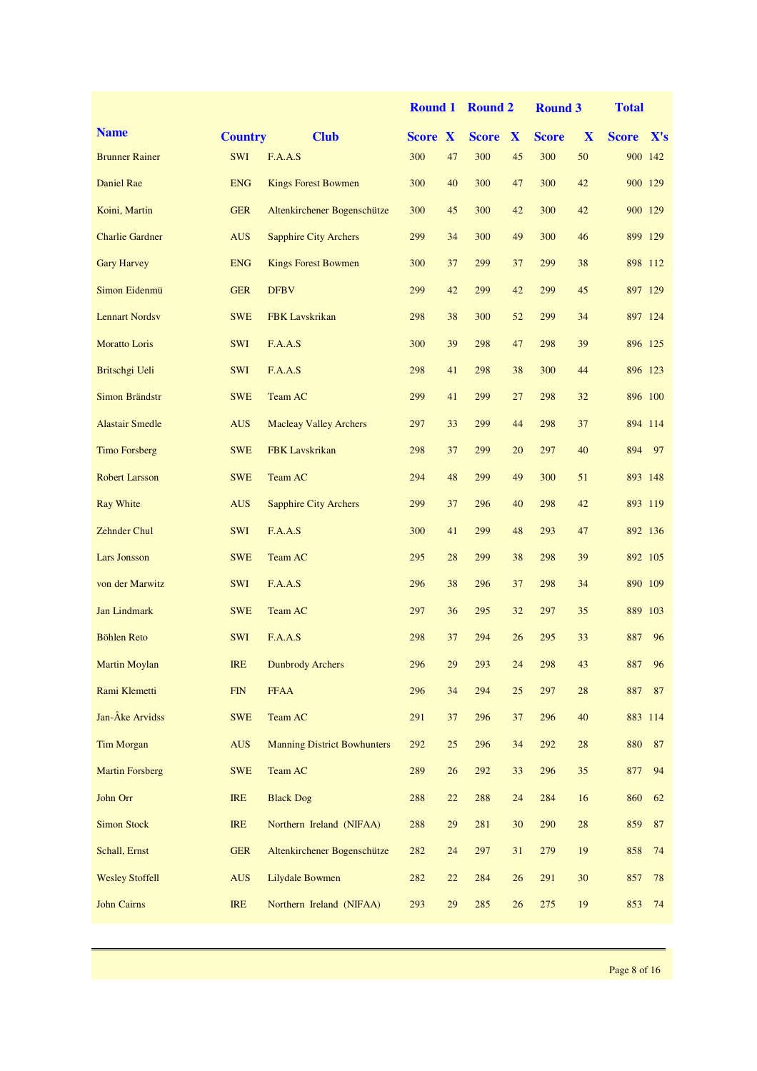|                        |                |                                    | <b>Round 1</b> |        | <b>Round 2</b> |              | <b>Round 3</b> |        | <b>Total</b> |                 |
|------------------------|----------------|------------------------------------|----------------|--------|----------------|--------------|----------------|--------|--------------|-----------------|
| <b>Name</b>            | <b>Country</b> | <b>Club</b>                        | <b>Score X</b> |        | <b>Score</b>   | $\mathbf{X}$ | <b>Score</b>   | X      | <b>Score</b> | $\mathbf{X}$ 's |
| <b>Brunner Rainer</b>  | <b>SWI</b>     | F.A.A.S                            | 300            | 47     | 300            | 45           | 300            | 50     |              | 900 142         |
| Daniel Rae             | <b>ENG</b>     | <b>Kings Forest Bowmen</b>         | 300            | 40     | 300            | 47           | 300            | 42     | 900 129      |                 |
| Koini, Martin          | <b>GER</b>     | Altenkirchener Bogenschütze        | 300            | 45     | 300            | 42           | 300            | 42     |              | 900 129         |
| <b>Charlie Gardner</b> | <b>AUS</b>     | <b>Sapphire City Archers</b>       | 299            | 34     | 300            | 49           | 300            | 46     |              | 899 129         |
| <b>Gary Harvey</b>     | <b>ENG</b>     | <b>Kings Forest Bowmen</b>         | 300            | 37     | 299            | 37           | 299            | 38     |              | 898 112         |
| Simon Eidenmü          | <b>GER</b>     | <b>DFBV</b>                        | 299            | 42     | 299            | 42           | 299            | 45     |              | 897 129         |
| <b>Lennart Nordsv</b>  | <b>SWE</b>     | <b>FBK</b> Lavskrikan              | 298            | 38     | 300            | 52           | 299            | 34     |              | 897 124         |
| <b>Moratto Loris</b>   | <b>SWI</b>     | F.A.A.S                            | 300            | 39     | 298            | 47           | 298            | 39     |              | 896 125         |
| Britschgi Ueli         | <b>SWI</b>     | F.A.A.S                            | 298            | 41     | 298            | 38           | 300            | 44     | 896 123      |                 |
| <b>Simon Brändstr</b>  | <b>SWE</b>     | Team AC                            | 299            | 41     | 299            | 27           | 298            | 32     | 896 100      |                 |
| <b>Alastair Smedle</b> | <b>AUS</b>     | <b>Macleay Valley Archers</b>      | 297            | 33     | 299            | 44           | 298            | 37     |              | 894 114         |
| <b>Timo Forsberg</b>   | <b>SWE</b>     | <b>FBK</b> Lavskrikan              | 298            | 37     | 299            | 20           | 297            | 40     | 894          | 97              |
| <b>Robert Larsson</b>  | <b>SWE</b>     | Team AC                            | 294            | 48     | 299            | 49           | 300            | 51     |              | 893 148         |
| <b>Ray White</b>       | <b>AUS</b>     | <b>Sapphire City Archers</b>       | 299            | 37     | 296            | 40           | 298            | 42     | 893 119      |                 |
| <b>Zehnder Chul</b>    | <b>SWI</b>     | F.A.A.S                            | 300            | 41     | 299            | 48           | 293            | 47     |              | 892 136         |
| <b>Lars Jonsson</b>    | <b>SWE</b>     | Team AC                            | 295            | 28     | 299            | 38           | 298            | 39     | 892 105      |                 |
| von der Marwitz        | <b>SWI</b>     | F.A.A.S                            | 296            | 38     | 296            | 37           | 298            | 34     | 890 109      |                 |
| Jan Lindmark           | <b>SWE</b>     | Team AC                            | 297            | 36     | 295            | 32           | 297            | 35     |              | 889 103         |
| <b>Böhlen Reto</b>     | <b>SWI</b>     | F.A.A.S                            | 298            | 37     | 294            | 26           | 295            | 33     | 887          | 96              |
| <b>Martin Moylan</b>   | <b>IRE</b>     | <b>Dunbrody Archers</b>            | 296            | 29     | 293            | 24           | 298            | 43     | 887          | 96              |
| Rami Klemetti          | <b>FIN</b>     | <b>FFAA</b>                        | 296            | 34     | 294            | 25           | 297            | 28     | 887          | 87              |
| Jan-Åke Arvidss        | <b>SWE</b>     | Team AC                            | 291            | $37\,$ | 296            | 37           | 296            | 40     |              | 883 114         |
| <b>Tim Morgan</b>      | <b>AUS</b>     | <b>Manning District Bowhunters</b> | 292            | 25     | 296            | 34           | 292            | $28\,$ | 880          | 87              |
| <b>Martin Forsberg</b> | <b>SWE</b>     | Team AC                            | 289            | $26\,$ | 292            | 33           | 296            | 35     | 877          | 94              |
| John Orr               | <b>IRE</b>     | <b>Black Dog</b>                   | 288            | $22\,$ | 288            | 24           | 284            | 16     | 860          | 62              |
| <b>Simon Stock</b>     | <b>IRE</b>     | Northern Ireland (NIFAA)           | 288            | $29\,$ | 281            | 30           | 290            | $28\,$ | 859          | 87              |
| Schall, Ernst          | <b>GER</b>     | Altenkirchener Bogenschütze        | 282            | 24     | 297            | 31           | 279            | 19     | 858          | 74              |
| <b>Wesley Stoffell</b> | <b>AUS</b>     | Lilydale Bowmen                    | 282            | $22\,$ | 284            | 26           | 291            | 30     | 857          | 78              |
| <b>John Cairns</b>     | <b>IRE</b>     | Northern Ireland (NIFAA)           | 293            | 29     | 285            | 26           | 275            | 19     | 853          | 74              |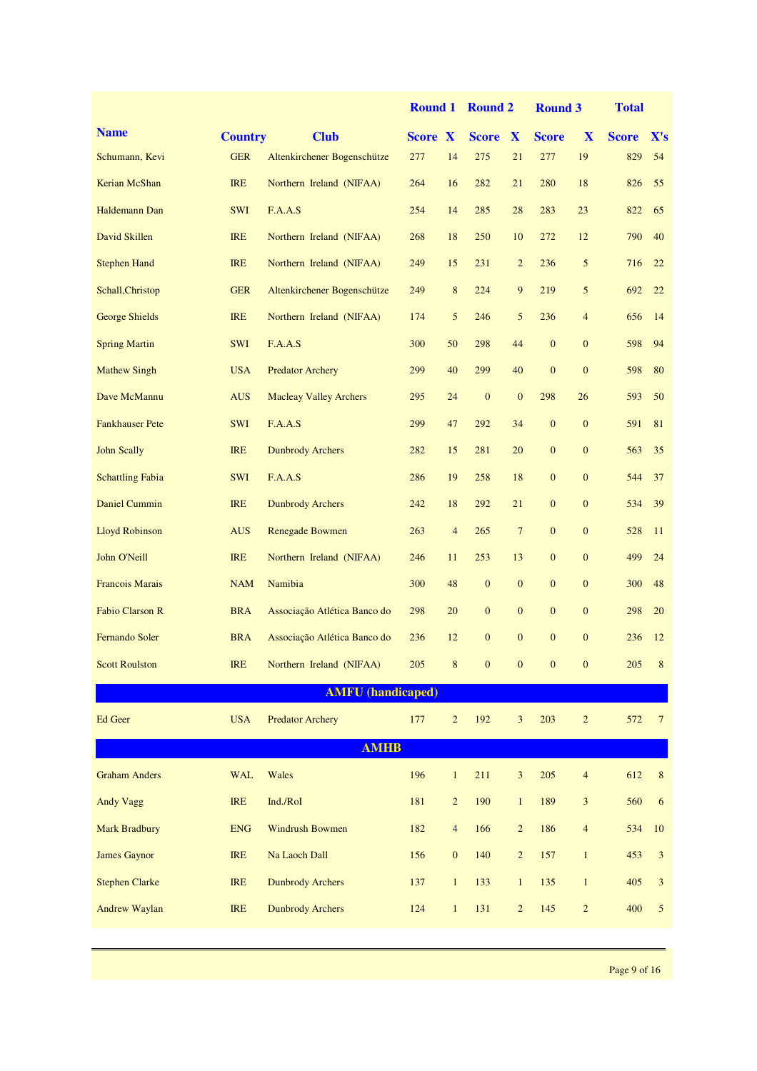|                         |                |                               | <b>Round 1</b> |                  | <b>Round 2</b>   |                  | <b>Round 3</b> |                                  | <b>Total</b> |                |
|-------------------------|----------------|-------------------------------|----------------|------------------|------------------|------------------|----------------|----------------------------------|--------------|----------------|
| <b>Name</b>             | <b>Country</b> | <b>Club</b>                   | <b>Score X</b> |                  | <b>Score</b>     | X                | <b>Score</b>   | X                                | <b>Score</b> | X's            |
| Schumann, Kevi          | <b>GER</b>     | Altenkirchener Bogenschütze   | 277            | 14               | 275              | 21               | 277            | 19                               | 829          | 54             |
| Kerian McShan           | <b>IRE</b>     | Northern Ireland (NIFAA)      | 264            | 16               | 282              | 21               | 280            | 18                               | 826          | 55             |
| Haldemann Dan           | <b>SWI</b>     | F.A.A.S                       | 254            | 14               | 285              | 28               | 283            | 23                               | 822          | 65             |
| David Skillen           | <b>IRE</b>     | Northern Ireland (NIFAA)      | 268            | 18               | 250              | 10               | 272            | 12                               | 790          | 40             |
| <b>Stephen Hand</b>     | <b>IRE</b>     | Northern Ireland (NIFAA)      | 249            | 15               | 231              | $\overline{c}$   | 236            | 5                                | 716          | 22             |
| Schall, Christop        | <b>GER</b>     | Altenkirchener Bogenschütze   | 249            | $\bf 8$          | 224              | 9                | 219            | 5                                | 692          | 22             |
| <b>George Shields</b>   | <b>IRE</b>     | Northern Ireland (NIFAA)      | 174            | 5                | 246              | 5                | 236            | $\overline{4}$                   | 656          | 14             |
| <b>Spring Martin</b>    | <b>SWI</b>     | F.A.A.S                       | 300            | 50               | 298              | 44               | $\mathbf{0}$   | $\mathbf{0}$                     | 598          | 94             |
| <b>Mathew Singh</b>     | <b>USA</b>     | <b>Predator Archery</b>       | 299            | 40               | 299              | 40               | $\mathbf{0}$   | $\mathbf{0}$                     | 598          | 80             |
| Dave McMannu            | <b>AUS</b>     | <b>Macleay Valley Archers</b> | 295            | 24               | $\boldsymbol{0}$ | $\mathbf{0}$     | 298            | 26                               | 593          | 50             |
| <b>Fankhauser Pete</b>  | <b>SWI</b>     | F.A.A.S                       | 299            | 47               | 292              | 34               | $\mathbf{0}$   | $\mathbf{0}$                     | 591          | 81             |
| <b>John Scally</b>      | <b>IRE</b>     | <b>Dunbrody Archers</b>       | 282            | 15               | 281              | 20               | $\mathbf{0}$   | $\mathbf{0}$                     | 563          | 35             |
| <b>Schattling Fabia</b> | <b>SWI</b>     | F.A.A.S                       | 286            | 19               | 258              | 18               | $\mathbf{0}$   | $\mathbf{0}$                     | 544          | 37             |
| <b>Daniel Cummin</b>    | <b>IRE</b>     | <b>Dunbrody Archers</b>       | 242            | 18               | 292              | 21               | $\mathbf{0}$   | $\mathbf{0}$                     | 534          | 39             |
| <b>Lloyd Robinson</b>   | <b>AUS</b>     | <b>Renegade Bowmen</b>        | 263            | $\overline{4}$   | 265              | $\boldsymbol{7}$ | $\overline{0}$ | $\mathbf{0}$                     | 528          | 11             |
| John O'Neill            | <b>IRE</b>     | Northern Ireland (NIFAA)      | 246            | 11               | 253              | 13               | $\mathbf{0}$   | $\mathbf{0}$                     | 499          | 24             |
| <b>Francois Marais</b>  | <b>NAM</b>     | Namibia                       | 300            | 48               | $\mathbf{0}$     | $\mathbf{0}$     | $\mathbf{0}$   | $\mathbf{0}$                     | 300          | 48             |
| <b>Fabio Clarson R</b>  | <b>BRA</b>     | Associação Atlética Banco do  | 298            | 20               | $\mathbf{0}$     | $\overline{0}$   | $\mathbf{0}$   | $\mathbf{0}$                     | 298          | 20             |
| Fernando Soler          | <b>BRA</b>     | Associação Atlética Banco do  | 236            | 12               | $\overline{0}$   | $\overline{0}$   | $\overline{0}$ | $\mathbf{0}$                     | 236          | 12             |
| <b>Scott Roulston</b>   |                | IRE Northern Ireland (NIFAA)  | 205            | 8 <sup>7</sup>   | $\mathbf{0}$     | $\mathbf{0}$     | $\mathbf{0}$   | $\begin{array}{c} 0 \end{array}$ | 205 8        |                |
|                         |                | <b>AMFU</b> (handicaped)      |                |                  |                  |                  |                |                                  |              |                |
| <b>Ed Geer</b>          | <b>USA</b>     | <b>Predator Archery</b>       | 177            | $\overline{c}$   | 192              | 3                | 203            | $\sqrt{2}$                       | 572          | $\tau$         |
|                         |                | <b>AMHB</b>                   |                |                  |                  |                  |                |                                  |              |                |
| <b>Graham Anders</b>    | <b>WAL</b>     | Wales                         | 196            | $\mathbf{1}$     | 211              | 3                | 205            | $\overline{4}$                   | 612          | $\,8\,$        |
| Andy Vagg               | <b>IRE</b>     | Ind./RoI                      | 181            | $\overline{c}$   | 190              | $\mathbf{1}$     | 189            | 3                                | 560          | 6              |
| <b>Mark Bradbury</b>    | <b>ENG</b>     | <b>Windrush Bowmen</b>        | 182            | $\overline{4}$   | 166              | $\overline{c}$   | 186            | $\overline{4}$                   | 534          | 10             |
| <b>James Gaynor</b>     | <b>IRE</b>     | Na Laoch Dall                 | 156            | $\boldsymbol{0}$ | 140              | $\overline{c}$   | 157            | $\mathbf{1}$                     | 453          | 3              |
| <b>Stephen Clarke</b>   | <b>IRE</b>     | <b>Dunbrody Archers</b>       | 137            | $\mathbf{1}$     | 133              | $\mathbf{1}$     | 135            | $\mathbf{1}$                     | 405          | $\mathfrak{Z}$ |
| <b>Andrew Waylan</b>    | <b>IRE</b>     | <b>Dunbrody Archers</b>       | 124            | $\mathbf{1}$     | 131              | $\overline{c}$   | 145            | $\overline{c}$                   | 400          | $\mathfrak{S}$ |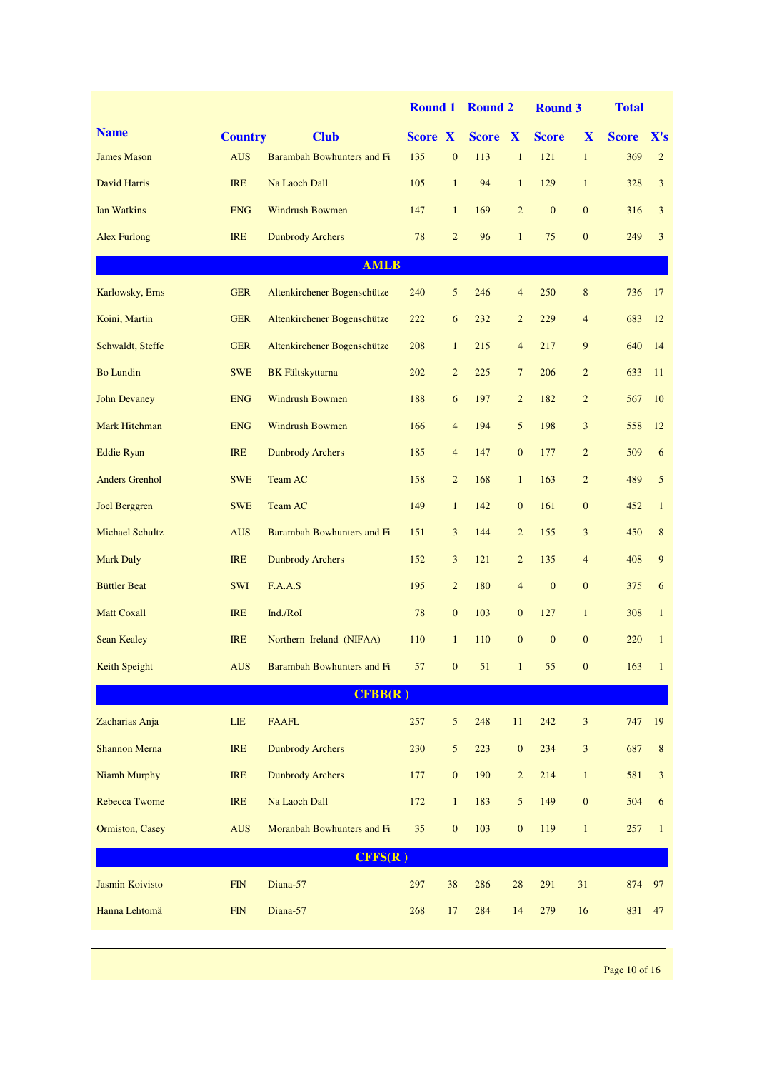|                        |                |                             | <b>Round 1</b> |                  | <b>Round 2</b> |                  | <b>Round 3</b> |                  | <b>Total</b> |                 |
|------------------------|----------------|-----------------------------|----------------|------------------|----------------|------------------|----------------|------------------|--------------|-----------------|
| <b>Name</b>            | <b>Country</b> | <b>Club</b>                 | <b>Score X</b> |                  | Score X        |                  | <b>Score</b>   | X                | <b>Score</b> | $\mathbf{X}$ 's |
| <b>James Mason</b>     | <b>AUS</b>     | Barambah Bowhunters and Fi  | 135            | $\boldsymbol{0}$ | 113            | $\mathbf{1}$     | 121            | $\mathbf{1}$     | 369          | $\overline{2}$  |
| David Harris           | <b>IRE</b>     | Na Laoch Dall               | 105            | $\mathbf{1}$     | 94             | $\mathbf{1}$     | 129            | $\mathbf{1}$     | 328          | 3               |
| Ian Watkins            | <b>ENG</b>     | <b>Windrush Bowmen</b>      | 147            | $\mathbf{1}$     | 169            | $\overline{2}$   | $\mathbf{0}$   | $\mathbf{0}$     | 316          | 3               |
| <b>Alex Furlong</b>    | <b>IRE</b>     | <b>Dunbrody Archers</b>     | 78             | $\overline{c}$   | 96             | $\mathbf{1}$     | 75             | $\mathbf{0}$     | 249          | 3               |
|                        |                | <b>AMLB</b>                 |                |                  |                |                  |                |                  |              |                 |
| Karlowsky, Erns        | <b>GER</b>     | Altenkirchener Bogenschütze | 240            | 5                | 246            | $\overline{4}$   | 250            | $\,8\,$          | 736          | 17              |
| Koini, Martin          | <b>GER</b>     | Altenkirchener Bogenschütze | 222            | 6                | 232            | $\overline{c}$   | 229            | $\overline{4}$   | 683          | 12              |
| Schwaldt, Steffe       | <b>GER</b>     | Altenkirchener Bogenschütze | 208            | $\mathbf{1}$     | 215            | $\overline{4}$   | 217            | 9                | 640          | 14              |
| <b>Bo Lundin</b>       | <b>SWE</b>     | <b>BK</b> Fältskyttarna     | 202            | $\overline{c}$   | 225            | $7\phantom{.0}$  | 206            | $\overline{c}$   | 633          | 11              |
| <b>John Devaney</b>    | <b>ENG</b>     | <b>Windrush Bowmen</b>      | 188            | 6                | 197            | $\overline{c}$   | 182            | $\overline{c}$   | 567          | 10              |
| Mark Hitchman          | <b>ENG</b>     | <b>Windrush Bowmen</b>      | 166            | $\overline{4}$   | 194            | $\sqrt{5}$       | 198            | $\mathfrak{Z}$   | 558          | 12              |
| <b>Eddie Ryan</b>      | <b>IRE</b>     | <b>Dunbrody Archers</b>     | 185            | $\overline{4}$   | 147            | $\mathbf{0}$     | 177            | $\overline{c}$   | 509          | 6               |
| <b>Anders Grenhol</b>  | <b>SWE</b>     | Team AC                     | 158            | $\overline{c}$   | 168            | $\mathbf{1}$     | 163            | $\overline{2}$   | 489          | 5               |
| <b>Joel Berggren</b>   | <b>SWE</b>     | Team AC                     | 149            | $\mathbf{1}$     | 142            | $\boldsymbol{0}$ | 161            | $\boldsymbol{0}$ | 452          | $\mathbf{1}$    |
| <b>Michael Schultz</b> | <b>AUS</b>     | Barambah Bowhunters and Fi  | 151            | 3                | 144            | $\overline{c}$   | 155            | $\mathfrak{Z}$   | 450          | $\,8\,$         |
| <b>Mark Daly</b>       | <b>IRE</b>     | <b>Dunbrody Archers</b>     | 152            | 3                | 121            | $\overline{2}$   | 135            | $\overline{4}$   | 408          | 9               |
| <b>Büttler Beat</b>    | <b>SWI</b>     | F.A.A.S                     | 195            | $\overline{2}$   | 180            | $\overline{4}$   | $\mathbf{0}$   | $\mathbf{0}$     | 375          | 6               |
| <b>Matt Coxall</b>     | <b>IRE</b>     | Ind./RoI                    | 78             | $\boldsymbol{0}$ | 103            | $\mathbf{0}$     | 127            | $\mathbf{1}$     | 308          | $\mathbf{1}$    |
| <b>Sean Kealey</b>     | <b>IRE</b>     | Northern Ireland (NIFAA)    | 110            | $\mathbf{1}$     | 110            | $\mathbf{0}$     | $\mathbf{0}$   | $\mathbf{0}$     | 220          | $\mathbf{1}$    |
| Keith Speight          | <b>AUS</b>     | Barambah Bowhunters and Fi  | 57             | $\boldsymbol{0}$ | 51             |                  | 55             | $\mathbf{0}$     | 163          | $\mathbf{1}$    |
|                        |                | CFBB(R)                     |                |                  |                |                  |                |                  |              |                 |
| Zacharias Anja         | LIE            | <b>FAAFL</b>                | 257            | 5                | 248            | $11\,$           | 242            | $\sqrt{3}$       | 747          | 19              |
| <b>Shannon Merna</b>   | <b>IRE</b>     | <b>Dunbrody Archers</b>     | 230            | 5                | 223            | $\boldsymbol{0}$ | 234            | 3                | 687          | $\,8\,$         |
| <b>Niamh Murphy</b>    | <b>IRE</b>     | <b>Dunbrody Archers</b>     | 177            | $\boldsymbol{0}$ | 190            | $\overline{c}$   | 214            | $\mathbf{1}$     | 581          | $\mathfrak{Z}$  |
| <b>Rebecca Twome</b>   | <b>IRE</b>     | Na Laoch Dall               | 172            | $\mathbf{1}$     | 183            | $\mathfrak{S}$   | 149            | $\boldsymbol{0}$ | 504          | 6               |
| Ormiston, Casey        | <b>AUS</b>     | Moranbah Bowhunters and Fi  | 35             | $\boldsymbol{0}$ | 103            | $\boldsymbol{0}$ | 119            | $\mathbf{1}$     | 257          | $\mathbf{1}$    |
|                        |                | CFFS(R)                     |                |                  |                |                  |                |                  |              |                 |
| Jasmin Koivisto        | <b>FIN</b>     | Diana-57                    | 297            | 38               | 286            | 28               | 291            | 31               | 874          | 97              |
| Hanna Lehtomä          | <b>FIN</b>     | Diana-57                    | 268            | 17               | 284            | 14               | 279            | 16               | 831          | 47              |
|                        |                |                             |                |                  |                |                  |                |                  |              |                 |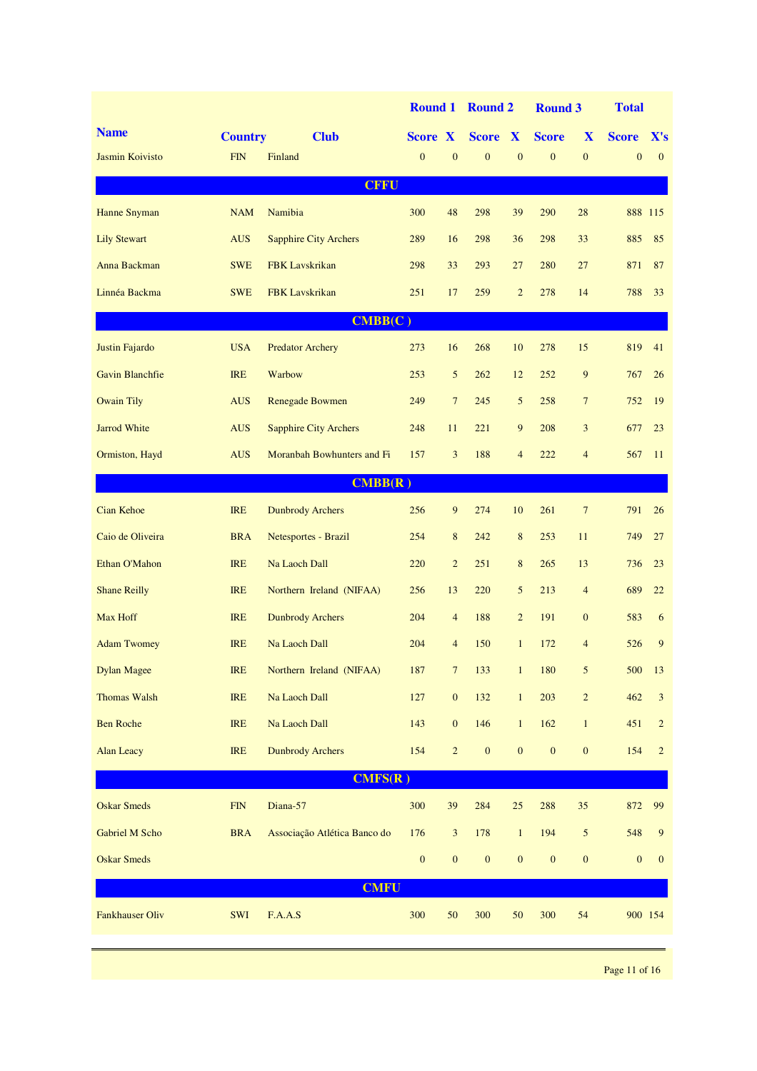|                        |                |                              | <b>Round 1</b>   |                  | <b>Round 2</b>   |                  | <b>Round 3</b>   |                  | <b>Total</b>     |                 |
|------------------------|----------------|------------------------------|------------------|------------------|------------------|------------------|------------------|------------------|------------------|-----------------|
| <b>Name</b>            | <b>Country</b> | <b>Club</b>                  | <b>Score X</b>   |                  | <b>Score X</b>   |                  | <b>Score</b>     | X                | <b>Score</b>     | $\mathbf{X}$ 's |
| Jasmin Koivisto        | <b>FIN</b>     | Finland                      | $\mathbf{0}$     | $\mathbf{0}$     | $\overline{0}$   | $\overline{0}$   | $\overline{0}$   | $\mathbf{0}$     | $\mathbf{0}$     | $\mathbf{0}$    |
|                        |                | <b>CFFU</b>                  |                  |                  |                  |                  |                  |                  |                  |                 |
| Hanne Snyman           | <b>NAM</b>     | Namibia                      | 300              | 48               | 298              | 39               | 290              | 28               |                  | 888 115         |
| <b>Lily Stewart</b>    | <b>AUS</b>     | <b>Sapphire City Archers</b> | 289              | 16               | 298              | 36               | 298              | 33               | 885              | 85              |
| Anna Backman           | <b>SWE</b>     | <b>FBK</b> Lavskrikan        | 298              | 33               | 293              | 27               | 280              | 27               | 871              | 87              |
| Linnéa Backma          | <b>SWE</b>     | <b>FBK</b> Lavskrikan        | 251              | 17               | 259              | $\overline{2}$   | 278              | 14               | 788              | 33              |
|                        |                | CMBB(C)                      |                  |                  |                  |                  |                  |                  |                  |                 |
| Justin Fajardo         | <b>USA</b>     | <b>Predator Archery</b>      | 273              | 16               | 268              | 10               | 278              | 15               | 819              | 41              |
| <b>Gavin Blanchfie</b> | <b>IRE</b>     | Warbow                       | 253              | 5                | 262              | 12               | 252              | 9                | 767              | 26              |
| <b>Owain Tily</b>      | <b>AUS</b>     | <b>Renegade Bowmen</b>       | 249              | $\overline{7}$   | 245              | $\mathfrak{S}$   | 258              | $7\phantom{.0}$  | 752              | 19              |
| <b>Jarrod White</b>    | <b>AUS</b>     | <b>Sapphire City Archers</b> | 248              | 11               | 221              | $\overline{9}$   | 208              | 3                | 677              | 23              |
| Ormiston, Hayd         | <b>AUS</b>     | Moranbah Bowhunters and Fi   | 157              | 3                | 188              | $\overline{4}$   | 222              | $\overline{4}$   | 567              | 11              |
|                        |                | CMBB(R)                      |                  |                  |                  |                  |                  |                  |                  |                 |
| <b>Cian Kehoe</b>      | <b>IRE</b>     | <b>Dunbrody Archers</b>      | 256              | 9                | 274              | 10               | 261              | $7\phantom{.0}$  | 791              | 26              |
| Caio de Oliveira       | <b>BRA</b>     | Netesportes - Brazil         | 254              | $\,8\,$          | 242              | $\,8\,$          | 253              | 11               | 749              | 27              |
| Ethan O'Mahon          | <b>IRE</b>     | Na Laoch Dall                | 220              | $\overline{c}$   | 251              | 8                | 265              | 13               | 736              | 23              |
| <b>Shane Reilly</b>    | <b>IRE</b>     | Northern Ireland (NIFAA)     | 256              | 13               | 220              | 5                | 213              | $\overline{4}$   | 689              | 22              |
| Max Hoff               | <b>IRE</b>     | <b>Dunbrody Archers</b>      | 204              | $\overline{4}$   | 188              | $\overline{2}$   | 191              | $\mathbf{0}$     | 583              | 6               |
| <b>Adam Twomey</b>     | <b>IRE</b>     | Na Laoch Dall                | 204              | $\overline{4}$   | 150              | $\mathbf{1}$     | 172              | $\overline{4}$   | 526              | 9               |
| <b>Dylan Magee</b>     | IRE            | Northern Ireland (NIFAA)     | 187              | $\overline{7}$   | 133              | $\mathbf{1}$     | 180              | 5                | 500              | 13              |
| <b>Thomas Walsh</b>    | IRE            | Na Laoch Dall                | $127\,$          | $\boldsymbol{0}$ | 132              | $\mathbf{1}$     | 203              | $\sqrt{2}$       | 462              | $\sqrt{3}$      |
| <b>Ben Roche</b>       | IRE            | Na Laoch Dall                | 143              | $\boldsymbol{0}$ | 146              | $\mathbf{1}$     | 162              | $\mathbf{1}$     | 451              | $\sqrt{2}$      |
| <b>Alan Leacy</b>      | IRE            | <b>Dunbrody Archers</b>      | 154              | $\overline{c}$   | $\boldsymbol{0}$ | $\boldsymbol{0}$ | $\boldsymbol{0}$ | $\boldsymbol{0}$ | 154              | $\overline{2}$  |
|                        |                | CMFS(R)                      |                  |                  |                  |                  |                  |                  |                  |                 |
| <b>Oskar Smeds</b>     | ${\rm FIN}$    | Diana-57                     | 300              | 39               | 284              | $25\,$           | 288              | 35               | 872              | 99              |
| Gabriel M Scho         | <b>BRA</b>     | Associação Atlética Banco do | 176              | $\mathfrak{Z}$   | 178              | $\mathbf{1}$     | 194              | $\sqrt{5}$       | 548              | 9               |
| <b>Oskar Smeds</b>     |                |                              | $\boldsymbol{0}$ | $\boldsymbol{0}$ | $\boldsymbol{0}$ | $\boldsymbol{0}$ | $\boldsymbol{0}$ | $\boldsymbol{0}$ | $\boldsymbol{0}$ | $\mathbf{0}$    |
|                        |                | <b>CMFU</b>                  |                  |                  |                  |                  |                  |                  |                  |                 |
| <b>Fankhauser Oliv</b> | SWI            | F.A.A.S                      | 300              | $50\,$           | 300              | 50               | 300              | 54               |                  | 900 154         |
|                        |                |                              |                  |                  |                  |                  |                  |                  |                  |                 |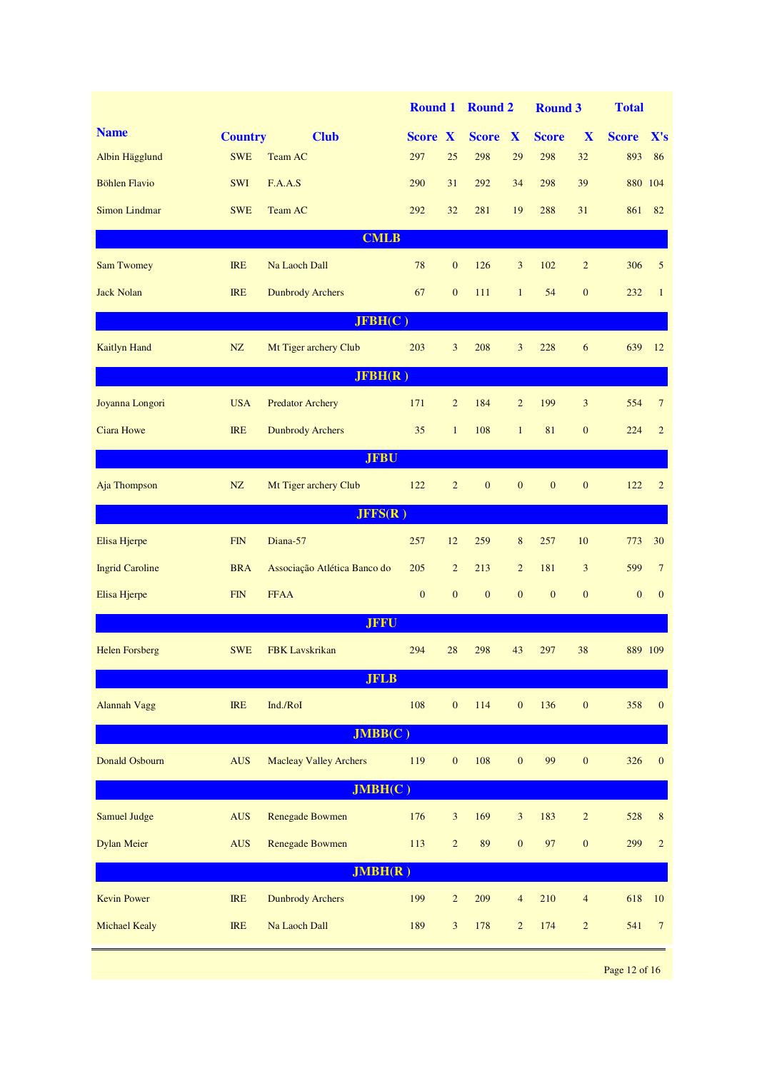|                        |                |                               | <b>Round 1</b> |                  | <b>Round 2</b>   |                  | <b>Round 3</b> |                  | <b>Total</b> |                         |
|------------------------|----------------|-------------------------------|----------------|------------------|------------------|------------------|----------------|------------------|--------------|-------------------------|
| <b>Name</b>            | <b>Country</b> | <b>Club</b>                   | <b>Score X</b> |                  | <b>Score</b>     | X                | <b>Score</b>   | X                | <b>Score</b> | $\mathbf{X}'\mathbf{s}$ |
| Albin Hägglund         | <b>SWE</b>     | Team AC                       | 297            | 25               | 298              | 29               | 298            | 32               | 893          | 86                      |
| <b>Böhlen Flavio</b>   | <b>SWI</b>     | F.A.A.S                       | 290            | 31               | 292              | 34               | 298            | 39               |              | 880 104                 |
| <b>Simon Lindmar</b>   | <b>SWE</b>     | Team AC                       | 292            | 32               | 281              | 19               | 288            | 31               | 861          | 82                      |
|                        |                | <b>CMLB</b>                   |                |                  |                  |                  |                |                  |              |                         |
| <b>Sam Twomey</b>      | <b>IRE</b>     | Na Laoch Dall                 | 78             | $\mathbf{0}$     | 126              | 3                | 102            | $\overline{2}$   | 306          | 5                       |
| <b>Jack Nolan</b>      | <b>IRE</b>     | <b>Dunbrody Archers</b>       | 67             | $\mathbf{0}$     | 111              | $\mathbf{1}$     | 54             | $\mathbf{0}$     | 232          | $\mathbf{1}$            |
|                        |                | JFBH(C)                       |                |                  |                  |                  |                |                  |              |                         |
| <b>Kaitlyn Hand</b>    | NZ             | Mt Tiger archery Club         | 203            | 3                | 208              | 3                | 228            | 6                | 639          | 12                      |
|                        |                | JFBH(R)                       |                |                  |                  |                  |                |                  |              |                         |
| Joyanna Longori        | <b>USA</b>     | <b>Predator Archery</b>       | 171            | $\overline{2}$   | 184              | $\overline{2}$   | 199            | 3                | 554          | $\overline{7}$          |
| <b>Ciara Howe</b>      | <b>IRE</b>     | <b>Dunbrody Archers</b>       | 35             | $\mathbf{1}$     | 108              | $\mathbf{1}$     | 81             | $\mathbf{0}$     | 224          | $\overline{2}$          |
|                        |                | <b>JFBU</b>                   |                |                  |                  |                  |                |                  |              |                         |
| Aja Thompson           | NZ             | Mt Tiger archery Club         | 122            | $\overline{2}$   | $\boldsymbol{0}$ | $\mathbf{0}$     | $\mathbf{0}$   | $\boldsymbol{0}$ | 122          | 2                       |
|                        |                | JFFS(R)                       |                |                  |                  |                  |                |                  |              |                         |
| Elisa Hjerpe           | <b>FIN</b>     | Diana-57                      | 257            | 12               | 259              | 8                | 257            | 10               | 773          | 30                      |
| <b>Ingrid Caroline</b> | <b>BRA</b>     | Associação Atlética Banco do  | 205            | $\overline{c}$   | 213              | $\overline{2}$   | 181            | 3                | 599          | $\overline{7}$          |
| Elisa Hjerpe           | <b>FIN</b>     | <b>FFAA</b>                   | $\mathbf{0}$   | $\mathbf{0}$     | $\mathbf{0}$     | $\mathbf{0}$     | $\mathbf{0}$   | $\mathbf{0}$     | $\mathbf{0}$ | $\mathbf{0}$            |
|                        |                | <b>JFFU</b>                   |                |                  |                  |                  |                |                  |              |                         |
| <b>Helen Forsberg</b>  | <b>SWE</b>     | <b>FBK</b> Lavskrikan         | 294            | 28               | 298              | 43               | 297            | 38               |              | 889 109                 |
|                        |                | <b>JFLB</b>                   |                |                  |                  |                  |                |                  |              |                         |
| <b>Alannah Vagg</b>    | IRE            | Ind./RoI                      | 108            | $\boldsymbol{0}$ | 114              | $\boldsymbol{0}$ | 136            | $\boldsymbol{0}$ | 358          | $\mathbf{0}$            |
|                        |                | JMBB(C)                       |                |                  |                  |                  |                |                  |              |                         |
| Donald Osbourn         | <b>AUS</b>     | <b>Macleay Valley Archers</b> | 119            | $\boldsymbol{0}$ | 108              | $\mathbf{0}$     | 99             | $\boldsymbol{0}$ | 326          | $\mathbf{0}$            |
|                        |                | JMBH(C)                       |                |                  |                  |                  |                |                  |              |                         |
| <b>Samuel Judge</b>    | <b>AUS</b>     | <b>Renegade Bowmen</b>        | 176            | $\mathfrak{Z}$   | 169              | $\mathfrak{Z}$   | 183            | $\sqrt{2}$       | 528          | $\,$ 8 $\,$             |
| <b>Dylan Meier</b>     | <b>AUS</b>     | Renegade Bowmen               | 113            | $\overline{c}$   | 89               | $\mathbf{0}$     | 97             | $\boldsymbol{0}$ | 299          | $\overline{c}$          |
|                        |                | JMBH(R)                       |                |                  |                  |                  |                |                  |              |                         |
| <b>Kevin Power</b>     | <b>IRE</b>     | <b>Dunbrody Archers</b>       | 199            | $\overline{c}$   | 209              | $\overline{4}$   | 210            | $\overline{4}$   | 618          | 10                      |
| <b>Michael Kealy</b>   | <b>IRE</b>     | Na Laoch Dall                 | 189            | 3                | 178              | $\overline{c}$   | 174            | $\overline{2}$   | 541          | $\overline{7}$          |
|                        |                |                               |                |                  |                  |                  |                |                  |              |                         |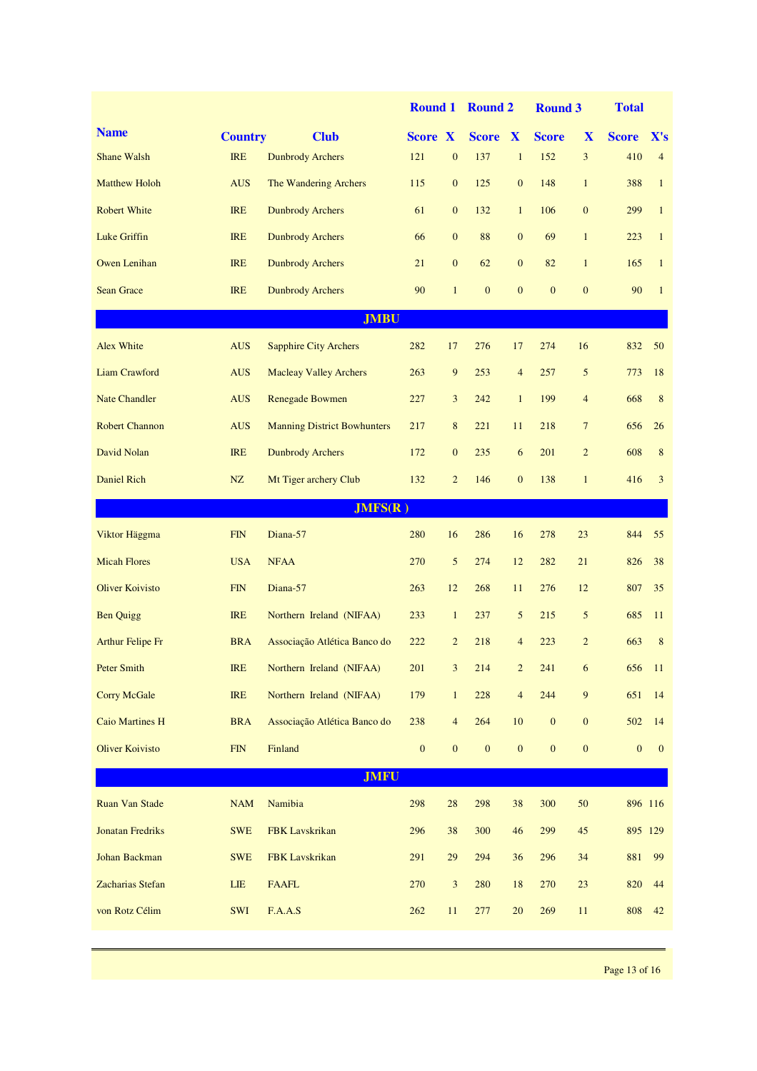|                         |                |                                    | <b>Round 1</b>   |                  | <b>Round 2</b>   |                         | <b>Round 3</b>   |                  | <b>Total</b>     |                |
|-------------------------|----------------|------------------------------------|------------------|------------------|------------------|-------------------------|------------------|------------------|------------------|----------------|
| <b>Name</b>             | <b>Country</b> | <b>Club</b>                        | <b>Score X</b>   |                  | <b>Score X</b>   |                         | <b>Score</b>     | X                | <b>Score</b>     | X's            |
| <b>Shane Walsh</b>      | <b>IRE</b>     | <b>Dunbrody Archers</b>            | 121              | $\boldsymbol{0}$ | 137              | $\mathbf{1}$            | 152              | $\overline{3}$   | 410              | $\overline{4}$ |
| <b>Matthew Holoh</b>    | <b>AUS</b>     | The Wandering Archers              | 115              | $\mathbf{0}$     | 125              | $\overline{0}$          | 148              | $\mathbf{1}$     | 388              | $\mathbf{1}$   |
| <b>Robert White</b>     | <b>IRE</b>     | <b>Dunbrody Archers</b>            | 61               | $\mathbf{0}$     | 132              | $\mathbf{1}$            | 106              | $\mathbf{0}$     | 299              | $\mathbf{1}$   |
| <b>Luke Griffin</b>     | <b>IRE</b>     | <b>Dunbrody Archers</b>            | 66               | $\mathbf{0}$     | 88               | $\overline{0}$          | 69               | $\mathbf{1}$     | 223              | $\mathbf{1}$   |
| <b>Owen Lenihan</b>     | <b>IRE</b>     | <b>Dunbrody Archers</b>            | 21               | $\mathbf{0}$     | 62               | $\overline{0}$          | 82               | $\mathbf{1}$     | 165              | $\mathbf{1}$   |
| <b>Sean Grace</b>       | <b>IRE</b>     | <b>Dunbrody Archers</b>            | 90               | $\mathbf{1}$     | $\mathbf{0}$     | $\mathbf{0}$            | $\mathbf{0}$     | $\overline{0}$   | 90               | $\mathbf{1}$   |
|                         |                | <b>JMBU</b>                        |                  |                  |                  |                         |                  |                  |                  |                |
| <b>Alex White</b>       | <b>AUS</b>     | <b>Sapphire City Archers</b>       | 282              | 17               | 276              | 17                      | 274              | 16               | 832              | 50             |
| Liam Crawford           | <b>AUS</b>     | <b>Macleay Valley Archers</b>      | 263              | 9                | 253              | $\overline{4}$          | 257              | 5                | 773              | 18             |
| <b>Nate Chandler</b>    | <b>AUS</b>     | <b>Renegade Bowmen</b>             | 227              | $\mathfrak{Z}$   | 242              | $\mathbf{1}$            | 199              | $\overline{4}$   | 668              | 8              |
| <b>Robert Channon</b>   | <b>AUS</b>     | <b>Manning District Bowhunters</b> | 217              | $\,8\,$          | 221              | 11                      | 218              | $\overline{7}$   | 656              | 26             |
| David Nolan             | <b>IRE</b>     | <b>Dunbrody Archers</b>            | 172              | $\mathbf{0}$     | 235              | 6                       | 201              | $\overline{c}$   | 608              | 8              |
| <b>Daniel Rich</b>      | NZ             | Mt Tiger archery Club              | 132              | $\overline{2}$   | 146              | $\overline{0}$          | 138              | $\mathbf{1}$     | 416              | 3              |
|                         |                | JMFS(R)                            |                  |                  |                  |                         |                  |                  |                  |                |
| Viktor Häggma           | ${\rm FIN}$    | Diana-57                           | 280              | 16               | 286              | 16                      | 278              | 23               | 844              | 55             |
| <b>Micah Flores</b>     | <b>USA</b>     | <b>NFAA</b>                        | 270              | 5                | 274              | 12                      | 282              | 21               | 826              | 38             |
| <b>Oliver Koivisto</b>  | <b>FIN</b>     | Diana-57                           | 263              | 12               | 268              | 11                      | 276              | 12               | 807              | 35             |
| <b>Ben Quigg</b>        | <b>IRE</b>     | Northern Ireland (NIFAA)           | 233              | $\mathbf{1}$     | 237              | 5                       | 215              | 5                | 685              | 11             |
| Arthur Felipe Fr        | <b>BRA</b>     | Associação Atlética Banco do       | 222              | $\overline{2}$   | 218              | $\overline{4}$          | 223              | $\overline{2}$   | 663              | 8              |
| Peter Smith             | IRE            | Northern Ireland (NIFAA)           | 201              | 3                | 214              | $\overline{\mathbf{c}}$ | 241              | 6                | 656              | <sup>11</sup>  |
| <b>Corry McGale</b>     | <b>IRE</b>     | Northern Ireland (NIFAA)           | 179              | $\mathbf{1}$     | 228              | $\overline{4}$          | 244              | 9                | 651              | 14             |
| <b>Caio Martines H</b>  | <b>BRA</b>     | Associação Atlética Banco do       | 238              | $\overline{4}$   | 264              | $10\,$                  | $\boldsymbol{0}$ | $\boldsymbol{0}$ | 502              | 14             |
| <b>Oliver Koivisto</b>  | FIN            | Finland                            | $\boldsymbol{0}$ | $\boldsymbol{0}$ | $\boldsymbol{0}$ | $\boldsymbol{0}$        | $\boldsymbol{0}$ | $\boldsymbol{0}$ | $\boldsymbol{0}$ | $\mathbf{0}$   |
|                         |                | <b>JMFU</b>                        |                  |                  |                  |                         |                  |                  |                  |                |
| <b>Ruan Van Stade</b>   | NAM            | Namibia                            | 298              | $28\,$           | 298              | 38                      | 300              | $50\,$           | 896 116          |                |
| <b>Jonatan Fredriks</b> | <b>SWE</b>     | FBK Lavskrikan                     | 296              | 38               | 300              | 46                      | 299              | 45               | 895 129          |                |
| Johan Backman           | <b>SWE</b>     | FBK Lavskrikan                     | 291              | $29\,$           | 294              | 36                      | 296              | 34               | 881              | 99             |
| Zacharias Stefan        | LIE            | <b>FAAFL</b>                       | 270              | $\sqrt{3}$       | 280              | $18\,$                  | 270              | 23               | 820              | 44             |
| von Rotz Célim          | SWI            | F.A.A.S                            | 262              | 11               | 277              | $20\,$                  | 269              | $11\,$           | 808              | 42             |
|                         |                |                                    |                  |                  |                  |                         |                  |                  |                  |                |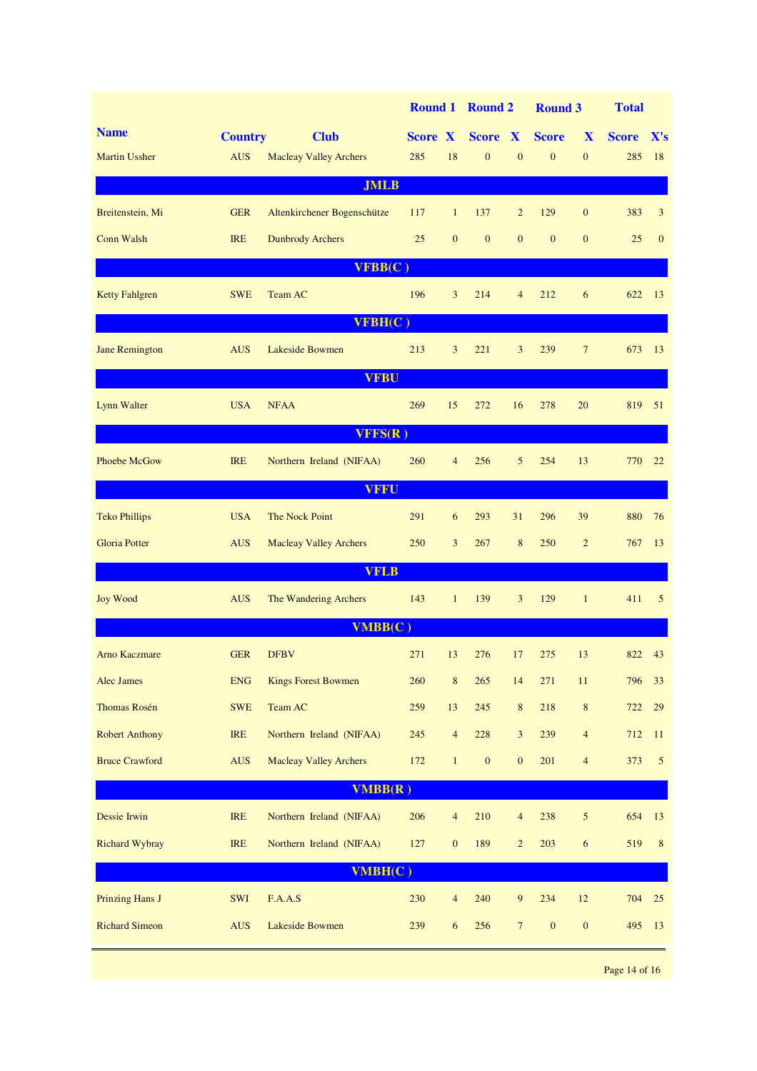|                        |                |                               |                |                  | Round 1 Round 2  |                  | <b>Round 3</b>   |                  | <b>Total</b> |                |  |  |
|------------------------|----------------|-------------------------------|----------------|------------------|------------------|------------------|------------------|------------------|--------------|----------------|--|--|
| <b>Name</b>            | <b>Country</b> | <b>Club</b>                   | <b>Score X</b> |                  | Score X          |                  | <b>Score</b>     | X                | <b>Score</b> | X's            |  |  |
| <b>Martin Ussher</b>   | <b>AUS</b>     | <b>Macleay Valley Archers</b> | 285            | 18               | $\mathbf{0}$     | $\mathbf{0}$     | $\mathbf{0}$     | $\mathbf{0}$     | 285          | 18             |  |  |
| <b>JMLB</b>            |                |                               |                |                  |                  |                  |                  |                  |              |                |  |  |
| Breitenstein, Mi       | <b>GER</b>     | Altenkirchener Bogenschütze   | 117            | $\mathbf{1}$     | 137              | $\overline{2}$   | 129              | $\mathbf{0}$     | 383          | 3              |  |  |
| <b>Conn Walsh</b>      | <b>IRE</b>     | <b>Dunbrody Archers</b>       | 25             | $\mathbf{0}$     | $\boldsymbol{0}$ | $\mathbf{0}$     | $\mathbf{0}$     | $\mathbf{0}$     | 25           | $\mathbf{0}$   |  |  |
| VFBB(C)                |                |                               |                |                  |                  |                  |                  |                  |              |                |  |  |
| <b>Ketty Fahlgren</b>  | <b>SWE</b>     | Team AC                       | 196            | 3                | 214              | $\overline{4}$   | 212              | 6                | 622          | 13             |  |  |
|                        |                | VFBH(C)                       |                |                  |                  |                  |                  |                  |              |                |  |  |
| <b>Jane Remington</b>  | <b>AUS</b>     | Lakeside Bowmen               | 213            | 3                | 221              | 3                | 239              | $\overline{7}$   | 673          | 13             |  |  |
|                        |                | <b>VFBU</b>                   |                |                  |                  |                  |                  |                  |              |                |  |  |
| <b>Lynn Walter</b>     | <b>USA</b>     | <b>NFAA</b>                   | 269            | 15               | 272              | 16               | 278              | 20               | 819          | 51             |  |  |
|                        |                | VFFS(R)                       |                |                  |                  |                  |                  |                  |              |                |  |  |
| <b>Phoebe McGow</b>    | <b>IRE</b>     | Northern Ireland (NIFAA)      | 260            | $\overline{4}$   | 256              | 5                | 254              | 13               | 770          | 22             |  |  |
|                        |                | <b>VFFU</b>                   |                |                  |                  |                  |                  |                  |              |                |  |  |
| <b>Teko Phillips</b>   | <b>USA</b>     | The Nock Point                | 291            | 6                | 293              | 31               | 296              | 39               | 880          | 76             |  |  |
| <b>Gloria Potter</b>   | <b>AUS</b>     | <b>Macleay Valley Archers</b> | 250            | $\overline{3}$   | 267              | 8                | 250              | $\overline{2}$   | 767          | 13             |  |  |
|                        |                | <b>VFLB</b>                   |                |                  |                  |                  |                  |                  |              |                |  |  |
| <b>Joy Wood</b>        | <b>AUS</b>     | The Wandering Archers         | 143            | $\mathbf{1}$     | 139              | 3                | 129              | $\mathbf{1}$     | 411          | 5              |  |  |
|                        |                | VMBB(C)                       |                |                  |                  |                  |                  |                  |              |                |  |  |
| <b>Arno Kaczmare</b>   | <b>GER</b>     | <b>DFBV</b>                   | 271            | 13               | 276              | 17               | 275              | 13               | 822          | 43             |  |  |
| <b>Alec James</b>      | <b>ENG</b>     | <b>Kings Forest Bowmen</b>    | 260            | $\,8\,$          | 265              | 14               | 271              | 11               | 796          | 33             |  |  |
| Thomas Rosén           | <b>SWE</b>     | Team AC                       | 259            | 13               | 245              | $\,8\,$          | 218              | $\,8\,$          | 722          | 29             |  |  |
| <b>Robert Anthony</b>  | <b>IRE</b>     | Northern Ireland (NIFAA)      | 245            | $\overline{4}$   | 228              | $\mathfrak{Z}$   | 239              | $\overline{4}$   | 712          | 11             |  |  |
| <b>Bruce Crawford</b>  | AUS            | <b>Macleay Valley Archers</b> | 172            | $\mathbf{1}$     | $\boldsymbol{0}$ | $\boldsymbol{0}$ | 201              | $\overline{4}$   | 373          | $\overline{5}$ |  |  |
|                        |                | VMBB(R)                       |                |                  |                  |                  |                  |                  |              |                |  |  |
| Dessie Irwin           | <b>IRE</b>     | Northern Ireland (NIFAA)      | 206            | $\overline{4}$   | 210              | $\overline{4}$   | 238              | $\sqrt{5}$       | 654          | 13             |  |  |
| <b>Richard Wybray</b>  | IRE            | Northern Ireland (NIFAA)      | 127            | $\boldsymbol{0}$ | 189              | $\overline{c}$   | 203              | $\sqrt{6}$       | 519          | $8\phantom{1}$ |  |  |
| VMBH(C)                |                |                               |                |                  |                  |                  |                  |                  |              |                |  |  |
| <b>Prinzing Hans J</b> | SWI            | F.A.A.S                       | 230            | $\overline{4}$   | 240              | $\overline{9}$   | 234              | 12               | 704          | 25             |  |  |
| <b>Richard Simeon</b>  | <b>AUS</b>     | Lakeside Bowmen               | 239            | 6                | 256              | $\overline{7}$   | $\boldsymbol{0}$ | $\boldsymbol{0}$ | 495          | 13             |  |  |
|                        |                |                               |                |                  |                  |                  |                  |                  |              |                |  |  |

Page 14 of 16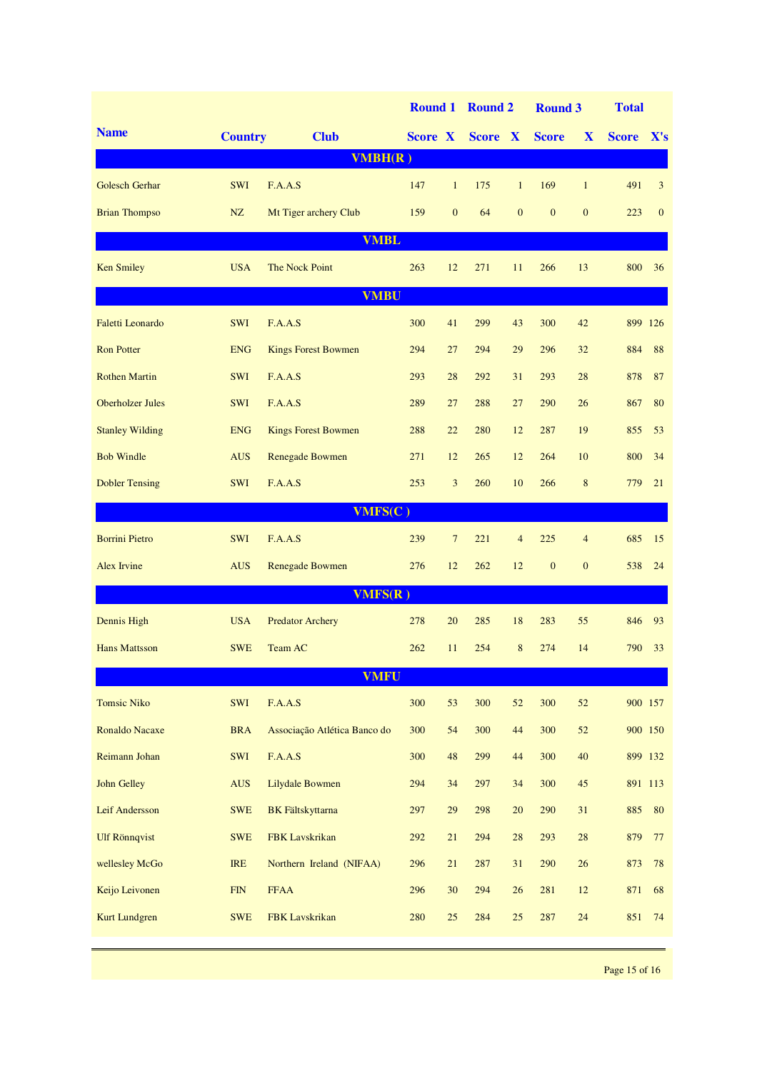|                         |                |                              | <b>Round 1</b> |                | <b>Round 2</b> |                | <b>Round 3</b> |                | <b>Total</b> |              |  |  |
|-------------------------|----------------|------------------------------|----------------|----------------|----------------|----------------|----------------|----------------|--------------|--------------|--|--|
| <b>Name</b>             | <b>Country</b> | <b>Club</b>                  | <b>Score X</b> |                | <b>Score X</b> |                | <b>Score</b>   | X              | <b>Score</b> | X's          |  |  |
|                         |                | VMBH(R)                      |                |                |                |                |                |                |              |              |  |  |
| <b>Golesch Gerhar</b>   | <b>SWI</b>     | F.A.A.S                      | 147            | $\mathbf{1}$   | 175            | $\mathbf{1}$   | 169            | $\mathbf{1}$   | 491          | 3            |  |  |
| <b>Brian Thompso</b>    | NZ             | Mt Tiger archery Club        | 159            | $\overline{0}$ | 64             | $\mathbf{0}$   | $\mathbf{0}$   | $\mathbf{0}$   | 223          | $\mathbf{0}$ |  |  |
| <b>VMBL</b>             |                |                              |                |                |                |                |                |                |              |              |  |  |
| <b>Ken Smiley</b>       | <b>USA</b>     | The Nock Point               | 263            | 12             | 271            | 11             | 266            | 13             | 800          | 36           |  |  |
| <b>VMBU</b>             |                |                              |                |                |                |                |                |                |              |              |  |  |
| <b>Faletti Leonardo</b> | <b>SWI</b>     | F.A.A.S                      | 300            | 41             | 299            | 43             | 300            | 42             | 899 126      |              |  |  |
| <b>Ron Potter</b>       | <b>ENG</b>     | <b>Kings Forest Bowmen</b>   | 294            | 27             | 294            | 29             | 296            | 32             | 884          | 88           |  |  |
| <b>Rothen Martin</b>    | <b>SWI</b>     | F.A.A.S                      | 293            | 28             | 292            | 31             | 293            | 28             | 878          | 87           |  |  |
| <b>Oberholzer Jules</b> | SWI            | F.A.A.S                      | 289            | 27             | 288            | 27             | 290            | 26             | 867          | 80           |  |  |
| <b>Stanley Wilding</b>  | <b>ENG</b>     | <b>Kings Forest Bowmen</b>   | 288            | 22             | 280            | 12             | 287            | 19             | 855          | 53           |  |  |
| <b>Bob Windle</b>       | <b>AUS</b>     | Renegade Bowmen              | 271            | 12             | 265            | 12             | 264            | 10             | 800          | 34           |  |  |
| <b>Dobler Tensing</b>   | <b>SWI</b>     | F.A.A.S                      | 253            | $\overline{3}$ | 260            | 10             | 266            | 8              | 779          | 21           |  |  |
| VMFS(C)                 |                |                              |                |                |                |                |                |                |              |              |  |  |
| <b>Borrini Pietro</b>   | <b>SWI</b>     | F.A.A.S                      | 239            | $\overline{7}$ | 221            | $\overline{4}$ | 225            | $\overline{4}$ | 685          | 15           |  |  |
| Alex Irvine             | <b>AUS</b>     | <b>Renegade Bowmen</b>       | 276            | 12             | 262            | 12             | $\mathbf{0}$   | $\mathbf{0}$   | 538          | 24           |  |  |
|                         |                | VMFS(R)                      |                |                |                |                |                |                |              |              |  |  |
| Dennis High             | <b>USA</b>     | <b>Predator Archery</b>      | 278            | 20             | 285            | 18             | 283            | 55             | 846          | 93           |  |  |
| <b>Hans Mattsson</b>    | <b>SWE</b>     | Team AC                      | 262            | 11             | 254            | 8              | 274            | 14             | 790          | 33           |  |  |
|                         |                | <b>VMFU</b>                  |                |                |                |                |                |                |              |              |  |  |
| <b>Tomsic Niko</b>      | SWI            | F.A.A.S                      | 300            | 53             | 300            | 52             | 300            | 52             |              | 900 157      |  |  |
| <b>Ronaldo Nacaxe</b>   | <b>BRA</b>     | Associação Atlética Banco do | 300            | 54             | 300            | 44             | 300            | 52             |              | 900 150      |  |  |
| Reimann Johan           | SWI            | F.A.A.S                      | 300            | $\sqrt{48}$    | 299            | 44             | 300            | 40             |              | 899 132      |  |  |
| <b>John Gelley</b>      | <b>AUS</b>     | Lilydale Bowmen              | 294            | 34             | 297            | 34             | 300            | 45             |              | 891 113      |  |  |
| Leif Andersson          | <b>SWE</b>     | <b>BK</b> Fältskyttarna      | 297            | $29\,$         | 298            | $20\,$         | 290            | 31             | 885          | 80           |  |  |
| <b>Ulf Rönnqvist</b>    | <b>SWE</b>     | <b>FBK</b> Lavskrikan        | 292            | $21\,$         | 294            | 28             | 293            | $28\,$         | 879          | 77           |  |  |
| wellesley McGo          | <b>IRE</b>     | Northern Ireland (NIFAA)     | 296            | 21             | 287            | 31             | 290            | 26             | 873          | 78           |  |  |
| Keijo Leivonen          | FIN            | <b>FFAA</b>                  | 296            | 30             | 294            | 26             | 281            | 12             | 871          | 68           |  |  |
| <b>Kurt Lundgren</b>    | <b>SWE</b>     | FBK Lavskrikan               | 280            | $25\,$         | 284            | 25             | 287            | 24             | 851          | 74           |  |  |